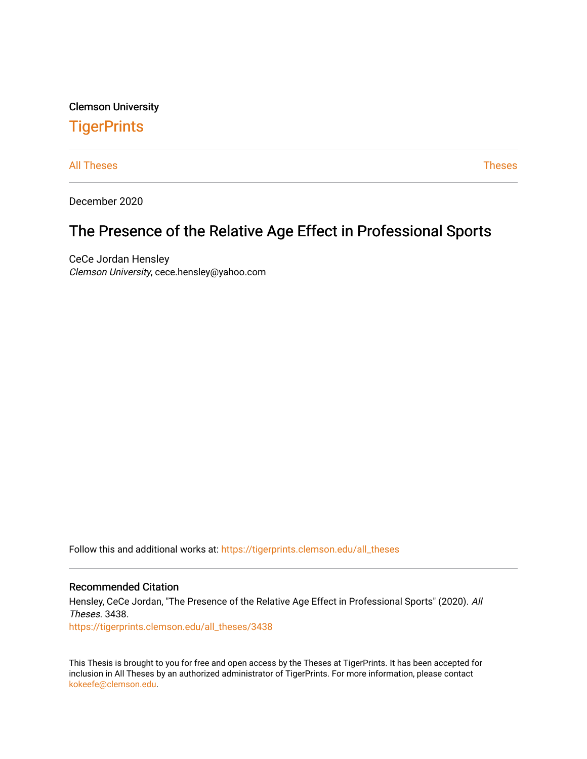Clemson University

# **TigerPrints**

[All Theses](https://tigerprints.clemson.edu/all_theses) **Theses** [Theses](https://tigerprints.clemson.edu/theses) **Theses** 

December 2020

# The Presence of the Relative Age Effect in Professional Sports

CeCe Jordan Hensley Clemson University, cece.hensley@yahoo.com

Follow this and additional works at: [https://tigerprints.clemson.edu/all\\_theses](https://tigerprints.clemson.edu/all_theses?utm_source=tigerprints.clemson.edu%2Fall_theses%2F3438&utm_medium=PDF&utm_campaign=PDFCoverPages) 

#### Recommended Citation

Hensley, CeCe Jordan, "The Presence of the Relative Age Effect in Professional Sports" (2020). All Theses. 3438.

[https://tigerprints.clemson.edu/all\\_theses/3438](https://tigerprints.clemson.edu/all_theses/3438?utm_source=tigerprints.clemson.edu%2Fall_theses%2F3438&utm_medium=PDF&utm_campaign=PDFCoverPages) 

This Thesis is brought to you for free and open access by the Theses at TigerPrints. It has been accepted for inclusion in All Theses by an authorized administrator of TigerPrints. For more information, please contact [kokeefe@clemson.edu](mailto:kokeefe@clemson.edu).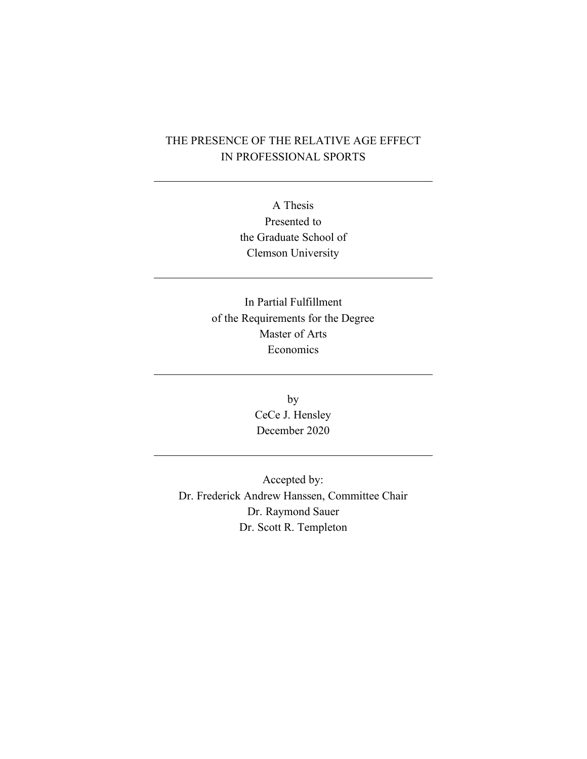### THE PRESENCE OF THE RELATIVE AGE EFFECT IN PROFESSIONAL SPORTS

A Thesis Presented to the Graduate School of Clemson University

In Partial Fulfillment of the Requirements for the Degree Master of Arts Economics

> by CeCe J. Hensley December 2020

Accepted by: Dr. Frederick Andrew Hanssen, Committee Chair Dr. Raymond Sauer Dr. Scott R. Templeton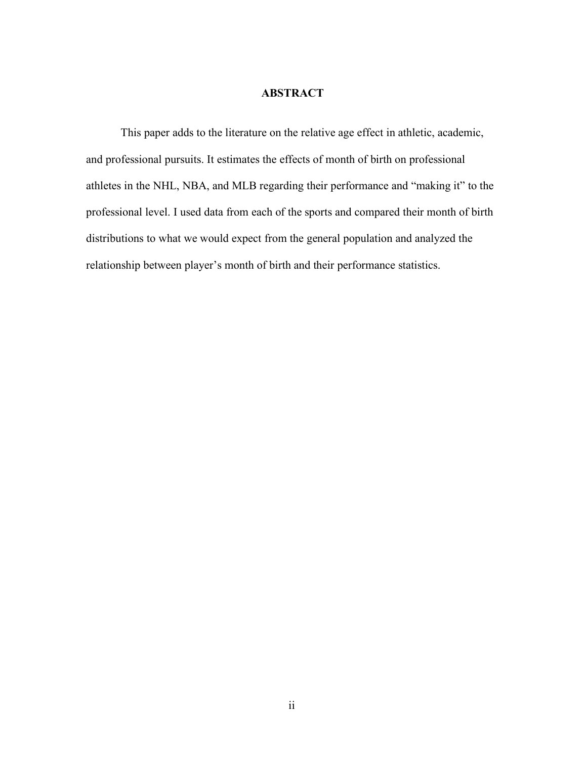#### **ABSTRACT**

This paper adds to the literature on the relative age effect in athletic, academic, and professional pursuits. It estimates the effects of month of birth on professional athletes in the NHL, NBA, and MLB regarding their performance and "making it" to the professional level. I used data from each of the sports and compared their month of birth distributions to what we would expect from the general population and analyzed the relationship between player's month of birth and their performance statistics.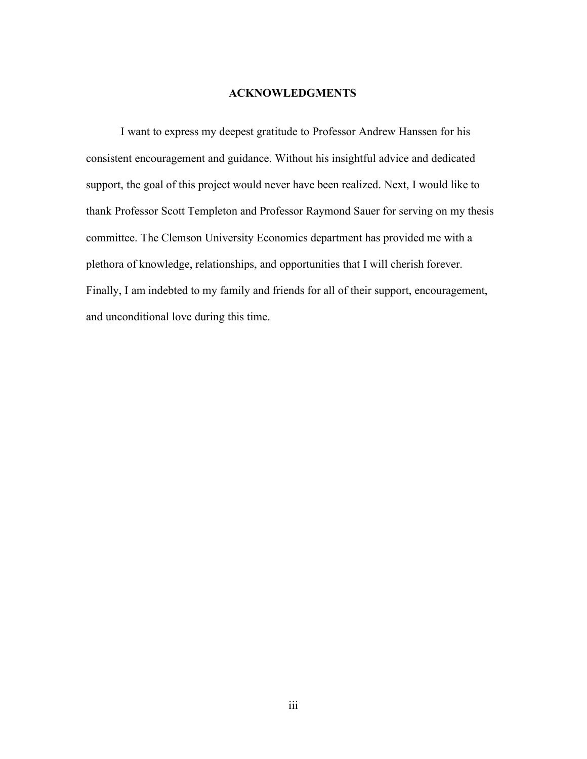#### **ACKNOWLEDGMENTS**

I want to express my deepest gratitude to Professor Andrew Hanssen for his consistent encouragement and guidance. Without his insightful advice and dedicated support, the goal of this project would never have been realized. Next, I would like to thank Professor Scott Templeton and Professor Raymond Sauer for serving on my thesis committee. The Clemson University Economics department has provided me with a plethora of knowledge, relationships, and opportunities that I will cherish forever. Finally, I am indebted to my family and friends for all of their support, encouragement, and unconditional love during this time.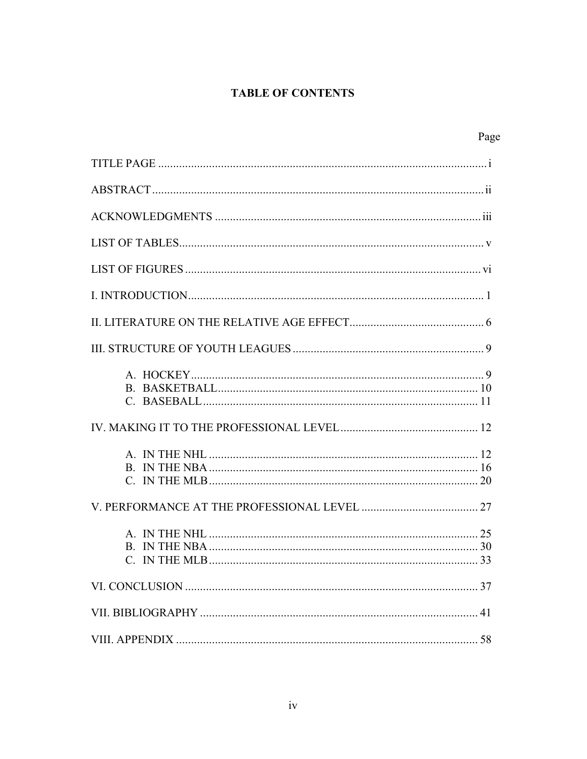### **TABLE OF CONTENTS**

| Page          |
|---------------|
|               |
|               |
|               |
|               |
|               |
|               |
|               |
|               |
|               |
|               |
|               |
|               |
| C. IN THE MLB |
|               |
|               |
|               |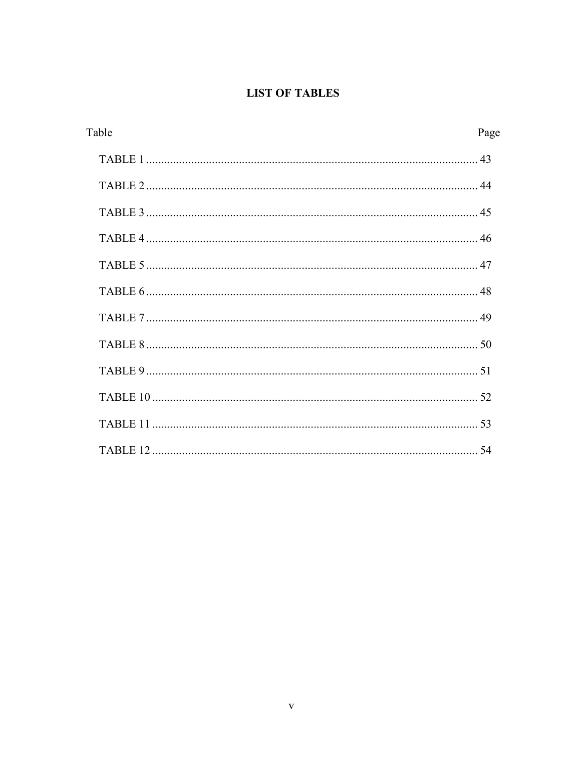### **LIST OF TABLES**

| Table | Page |
|-------|------|
|       |      |
|       |      |
|       |      |
|       |      |
|       |      |
|       |      |
|       |      |
|       |      |
|       |      |
|       |      |
|       |      |
|       |      |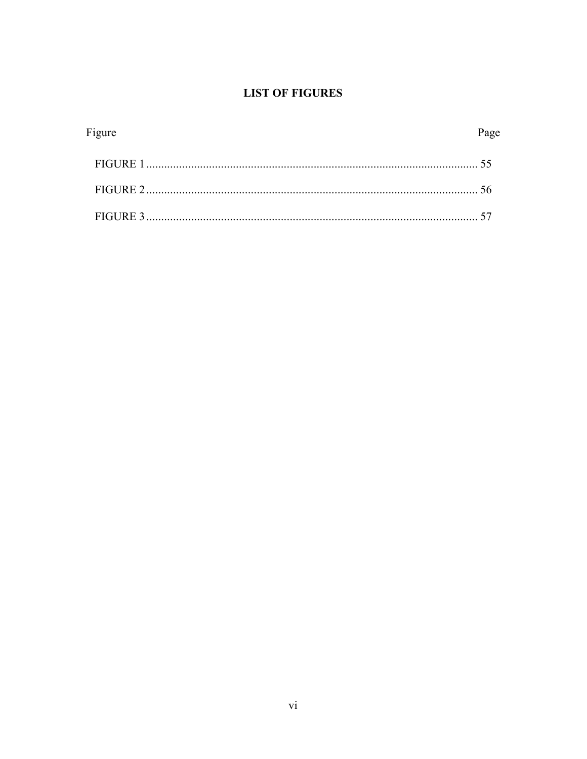### **LIST OF FIGURES**

| Figure | Page |
|--------|------|
|        |      |
|        |      |
|        |      |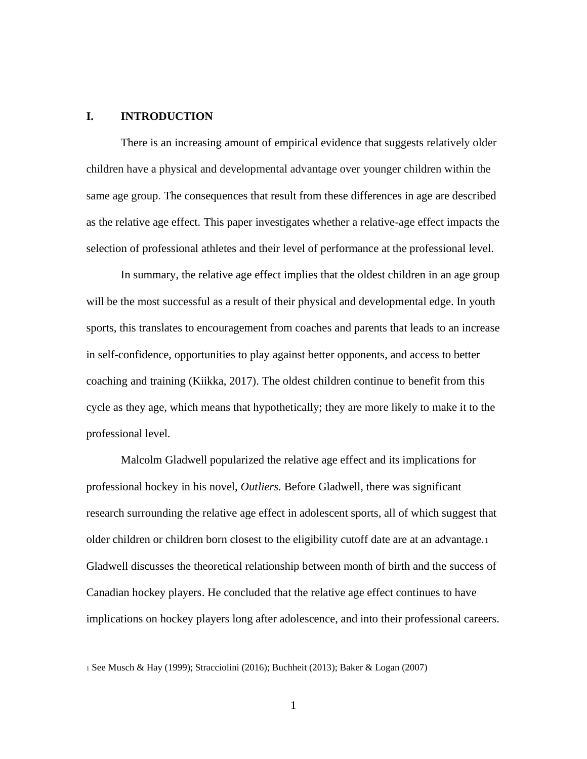#### **I. INTRODUCTION**

There is an increasing amount of empirical evidence that suggests relatively older children have a physical and developmental advantage over younger children within the same age group. The consequences that result from these differences in age are described as the relative age effect. This paper investigates whether a relative-age effect impacts the selection of professional athletes and their level of performance at the professional level.

In summary, the relative age effect implies that the oldest children in an age group will be the most successful as a result of their physical and developmental edge. In youth sports, this translates to encouragement from coaches and parents that leads to an increase in self-confidence, opportunities to play against better opponents, and access to better coaching and training (Kiikka, 2017). The oldest children continue to benefit from this cycle as they age, which means that hypothetically; they are more likely to make it to the professional level.

Malcolm Gladwell popularized the relative age effect and its implications for professional hockey in his novel, *Outliers.* Before Gladwell, there was significant research surrounding the relative age effect in adolescent sports, all of which suggest that older children or children born closest to the eligibility cutoff date are at an advantage.<sup>1</sup> Gladwell discusses the theoretical relationship between month of birth and the success of Canadian hockey players. He concluded that the relative age effect continues to have implications on hockey players long after adolescence, and into their professional careers.

<sup>1</sup> See Musch & Hay (1999); Stracciolini (2016); Buchheit (2013); Baker & Logan (2007)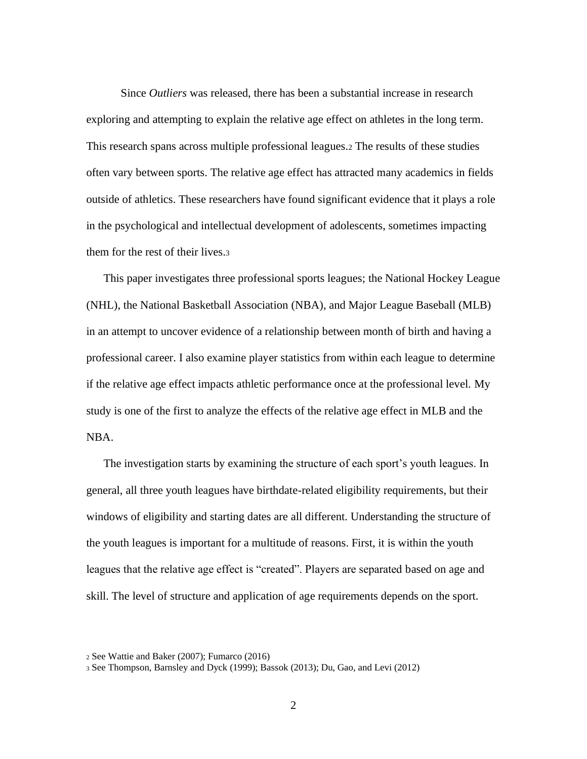Since *Outliers* was released, there has been a substantial increase in research exploring and attempting to explain the relative age effect on athletes in the long term. This research spans across multiple professional leagues.<sup>2</sup> The results of these studies often vary between sports. The relative age effect has attracted many academics in fields outside of athletics. These researchers have found significant evidence that it plays a role in the psychological and intellectual development of adolescents, sometimes impacting them for the rest of their lives.<sup>3</sup>

This paper investigates three professional sports leagues; the National Hockey League (NHL), the National Basketball Association (NBA), and Major League Baseball (MLB) in an attempt to uncover evidence of a relationship between month of birth and having a professional career. I also examine player statistics from within each league to determine if the relative age effect impacts athletic performance once at the professional level. My study is one of the first to analyze the effects of the relative age effect in MLB and the NBA.

The investigation starts by examining the structure of each sport's youth leagues. In general, all three youth leagues have birthdate-related eligibility requirements, but their windows of eligibility and starting dates are all different. Understanding the structure of the youth leagues is important for a multitude of reasons. First, it is within the youth leagues that the relative age effect is "created". Players are separated based on age and skill. The level of structure and application of age requirements depends on the sport.

<sup>2</sup> See Wattie and Baker (2007); Fumarco (2016)

<sup>3</sup> See Thompson, Barnsley and Dyck (1999); Bassok (2013); Du, Gao, and Levi (2012)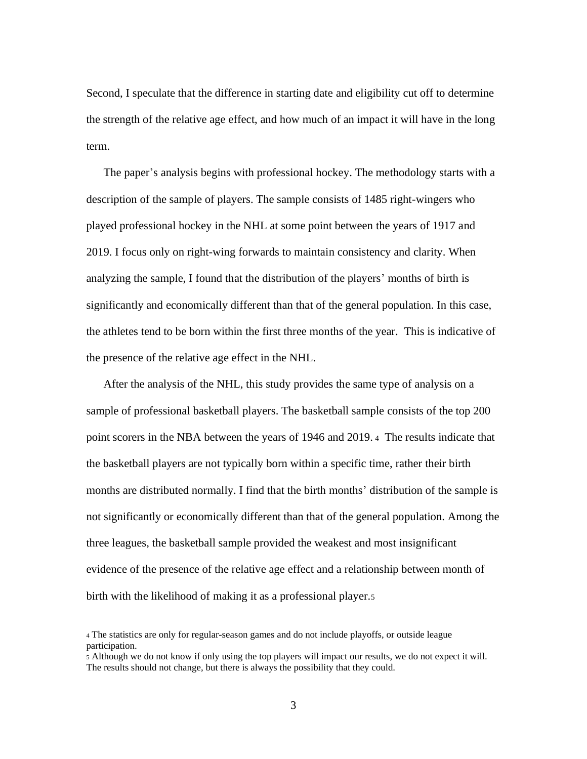Second, I speculate that the difference in starting date and eligibility cut off to determine the strength of the relative age effect, and how much of an impact it will have in the long term.

The paper's analysis begins with professional hockey. The methodology starts with a description of the sample of players. The sample consists of 1485 right-wingers who played professional hockey in the NHL at some point between the years of 1917 and 2019. I focus only on right-wing forwards to maintain consistency and clarity. When analyzing the sample, I found that the distribution of the players' months of birth is significantly and economically different than that of the general population. In this case, the athletes tend to be born within the first three months of the year. This is indicative of the presence of the relative age effect in the NHL.

After the analysis of the NHL, this study provides the same type of analysis on a sample of professional basketball players. The basketball sample consists of the top 200 point scorers in the NBA between the years of 1946 and 2019. <sup>4</sup> The results indicate that the basketball players are not typically born within a specific time, rather their birth months are distributed normally. I find that the birth months' distribution of the sample is not significantly or economically different than that of the general population. Among the three leagues, the basketball sample provided the weakest and most insignificant evidence of the presence of the relative age effect and a relationship between month of birth with the likelihood of making it as a professional player.<sup>5</sup>

<sup>4</sup> The statistics are only for regular-season games and do not include playoffs, or outside league participation.

<sup>5</sup> Although we do not know if only using the top players will impact our results, we do not expect it will. The results should not change, but there is always the possibility that they could.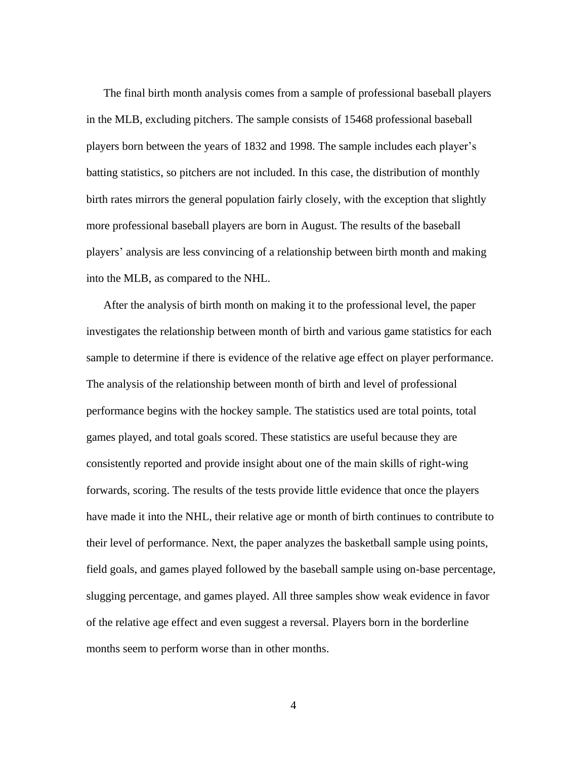The final birth month analysis comes from a sample of professional baseball players in the MLB, excluding pitchers. The sample consists of 15468 professional baseball players born between the years of 1832 and 1998. The sample includes each player's batting statistics, so pitchers are not included. In this case, the distribution of monthly birth rates mirrors the general population fairly closely, with the exception that slightly more professional baseball players are born in August. The results of the baseball players' analysis are less convincing of a relationship between birth month and making into the MLB, as compared to the NHL.

After the analysis of birth month on making it to the professional level, the paper investigates the relationship between month of birth and various game statistics for each sample to determine if there is evidence of the relative age effect on player performance. The analysis of the relationship between month of birth and level of professional performance begins with the hockey sample. The statistics used are total points, total games played, and total goals scored. These statistics are useful because they are consistently reported and provide insight about one of the main skills of right-wing forwards, scoring. The results of the tests provide little evidence that once the players have made it into the NHL, their relative age or month of birth continues to contribute to their level of performance. Next, the paper analyzes the basketball sample using points, field goals, and games played followed by the baseball sample using on-base percentage, slugging percentage, and games played. All three samples show weak evidence in favor of the relative age effect and even suggest a reversal. Players born in the borderline months seem to perform worse than in other months.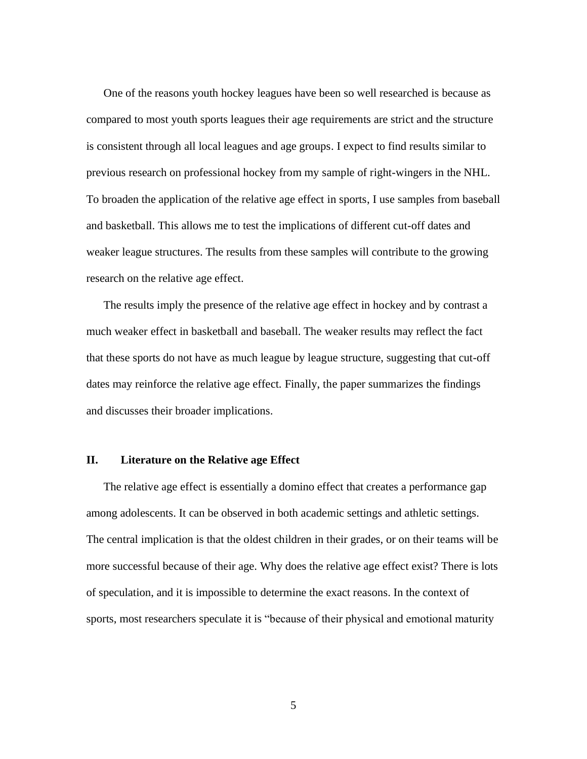One of the reasons youth hockey leagues have been so well researched is because as compared to most youth sports leagues their age requirements are strict and the structure is consistent through all local leagues and age groups. I expect to find results similar to previous research on professional hockey from my sample of right-wingers in the NHL. To broaden the application of the relative age effect in sports, I use samples from baseball and basketball. This allows me to test the implications of different cut-off dates and weaker league structures. The results from these samples will contribute to the growing research on the relative age effect.

The results imply the presence of the relative age effect in hockey and by contrast a much weaker effect in basketball and baseball. The weaker results may reflect the fact that these sports do not have as much league by league structure, suggesting that cut-off dates may reinforce the relative age effect. Finally, the paper summarizes the findings and discusses their broader implications.

#### **II. Literature on the Relative age Effect**

The relative age effect is essentially a domino effect that creates a performance gap among adolescents. It can be observed in both academic settings and athletic settings. The central implication is that the oldest children in their grades, or on their teams will be more successful because of their age. Why does the relative age effect exist? There is lots of speculation, and it is impossible to determine the exact reasons. In the context of sports, most researchers speculate it is "because of their physical and emotional maturity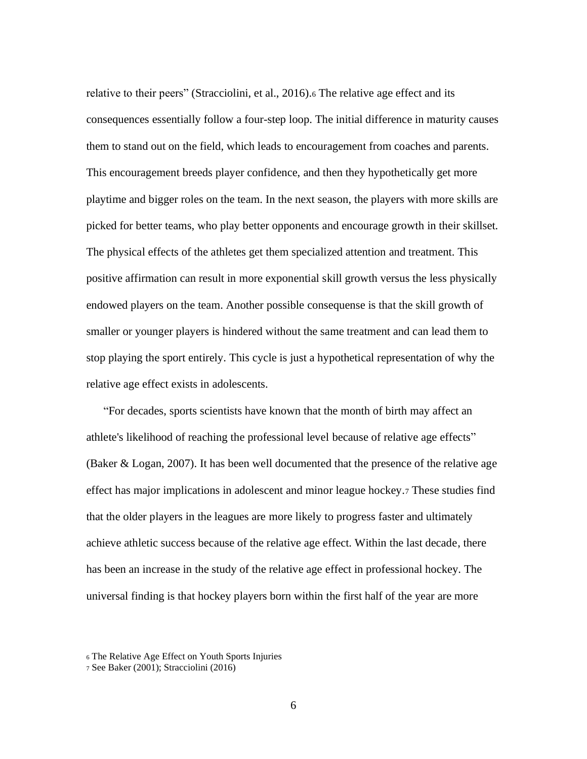relative to their peers" (Stracciolini, et al., 2016).<sup>6</sup> The relative age effect and its consequences essentially follow a four-step loop. The initial difference in maturity causes them to stand out on the field, which leads to encouragement from coaches and parents. This encouragement breeds player confidence, and then they hypothetically get more playtime and bigger roles on the team. In the next season, the players with more skills are picked for better teams, who play better opponents and encourage growth in their skillset. The physical effects of the athletes get them specialized attention and treatment. This positive affirmation can result in more exponential skill growth versus the less physically endowed players on the team. Another possible consequense is that the skill growth of smaller or younger players is hindered without the same treatment and can lead them to stop playing the sport entirely. This cycle is just a hypothetical representation of why the relative age effect exists in adolescents.

"For decades, sports scientists have known that the month of birth may affect an athlete's likelihood of reaching the professional level because of relative age effects" (Baker & Logan, 2007). It has been well documented that the presence of the relative age effect has major implications in adolescent and minor league hockey.<sup>7</sup> These studies find that the older players in the leagues are more likely to progress faster and ultimately achieve athletic success because of the relative age effect. Within the last decade, there has been an increase in the study of the relative age effect in professional hockey. The universal finding is that hockey players born within the first half of the year are more

<sup>6</sup> The Relative Age Effect on Youth Sports Injuries

<sup>7</sup> See Baker (2001); Stracciolini (2016)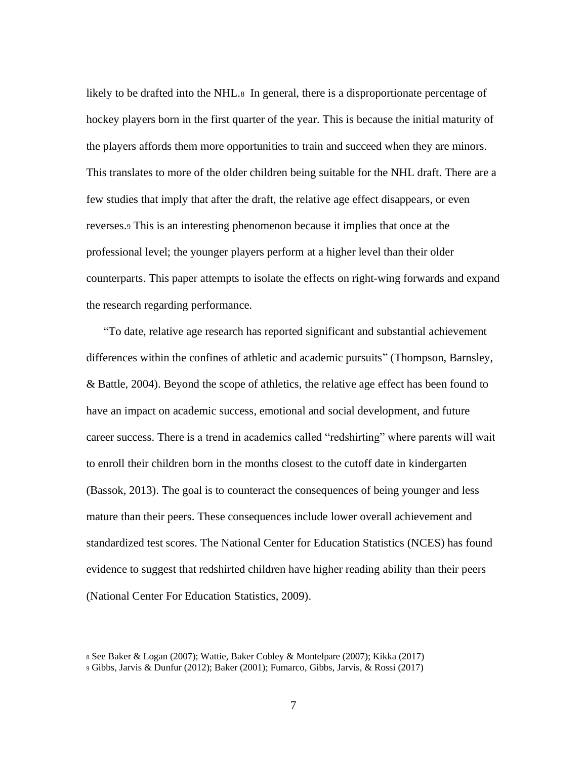likely to be drafted into the NHL.8 In general, there is a disproportionate percentage of hockey players born in the first quarter of the year. This is because the initial maturity of the players affords them more opportunities to train and succeed when they are minors. This translates to more of the older children being suitable for the NHL draft. There are a few studies that imply that after the draft, the relative age effect disappears, or even reverses.<sup>9</sup> This is an interesting phenomenon because it implies that once at the professional level; the younger players perform at a higher level than their older counterparts. This paper attempts to isolate the effects on right-wing forwards and expand the research regarding performance.

"To date, relative age research has reported significant and substantial achievement differences within the confines of athletic and academic pursuits" (Thompson, Barnsley, & Battle, 2004). Beyond the scope of athletics, the relative age effect has been found to have an impact on academic success, emotional and social development, and future career success. There is a trend in academics called "redshirting" where parents will wait to enroll their children born in the months closest to the cutoff date in kindergarten (Bassok, 2013). The goal is to counteract the consequences of being younger and less mature than their peers. These consequences include lower overall achievement and standardized test scores. The National Center for Education Statistics (NCES) has found evidence to suggest that redshirted children have higher reading ability than their peers (National Center For Education Statistics, 2009).

<sup>8</sup> See Baker & Logan (2007); Wattie, Baker Cobley & Montelpare (2007); Kikka (2017)

<sup>9</sup> Gibbs, Jarvis & Dunfur (2012); Baker (2001); Fumarco, Gibbs, Jarvis, & Rossi (2017)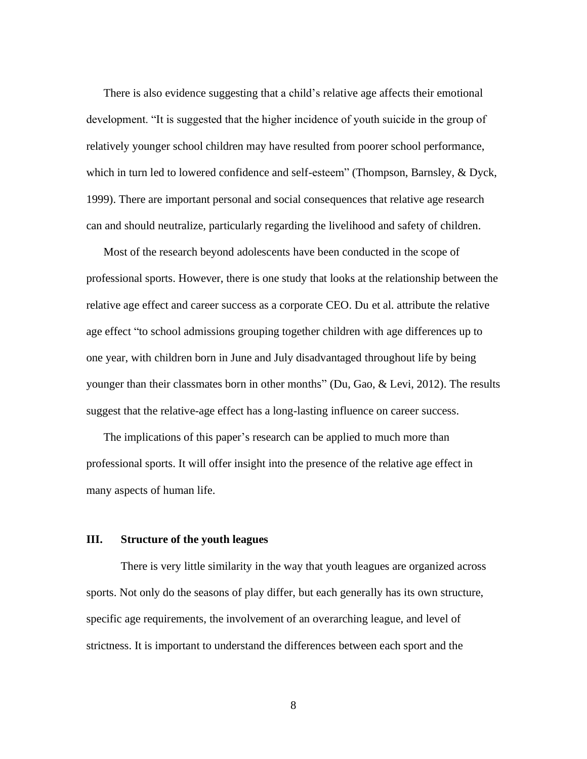There is also evidence suggesting that a child's relative age affects their emotional development. "It is suggested that the higher incidence of youth suicide in the group of relatively younger school children may have resulted from poorer school performance, which in turn led to lowered confidence and self-esteem" (Thompson, Barnsley, & Dyck, 1999). There are important personal and social consequences that relative age research can and should neutralize, particularly regarding the livelihood and safety of children.

Most of the research beyond adolescents have been conducted in the scope of professional sports. However, there is one study that looks at the relationship between the relative age effect and career success as a corporate CEO. Du et al. attribute the relative age effect "to school admissions grouping together children with age differences up to one year, with children born in June and July disadvantaged throughout life by being younger than their classmates born in other months" (Du, Gao, & Levi, 2012). The results suggest that the relative-age effect has a long-lasting influence on career success.

The implications of this paper's research can be applied to much more than professional sports. It will offer insight into the presence of the relative age effect in many aspects of human life.

#### **III. Structure of the youth leagues**

There is very little similarity in the way that youth leagues are organized across sports. Not only do the seasons of play differ, but each generally has its own structure, specific age requirements, the involvement of an overarching league, and level of strictness. It is important to understand the differences between each sport and the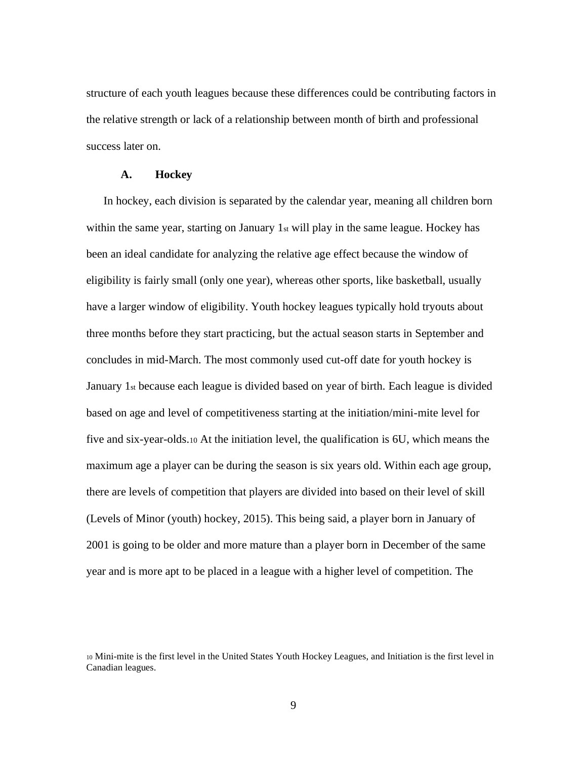structure of each youth leagues because these differences could be contributing factors in the relative strength or lack of a relationship between month of birth and professional success later on.

#### **A. Hockey**

In hockey, each division is separated by the calendar year, meaning all children born within the same year, starting on January  $1<sub>st</sub>$  will play in the same league. Hockey has been an ideal candidate for analyzing the relative age effect because the window of eligibility is fairly small (only one year), whereas other sports, like basketball, usually have a larger window of eligibility. Youth hockey leagues typically hold tryouts about three months before they start practicing, but the actual season starts in September and concludes in mid-March. The most commonly used cut-off date for youth hockey is January 1st because each league is divided based on year of birth. Each league is divided based on age and level of competitiveness starting at the initiation/mini-mite level for five and six-year-olds.<sup>10</sup> At the initiation level, the qualification is 6U, which means the maximum age a player can be during the season is six years old. Within each age group, there are levels of competition that players are divided into based on their level of skill (Levels of Minor (youth) hockey, 2015). This being said, a player born in January of 2001 is going to be older and more mature than a player born in December of the same year and is more apt to be placed in a league with a higher level of competition. The

<sup>10</sup> Mini-mite is the first level in the United States Youth Hockey Leagues, and Initiation is the first level in Canadian leagues.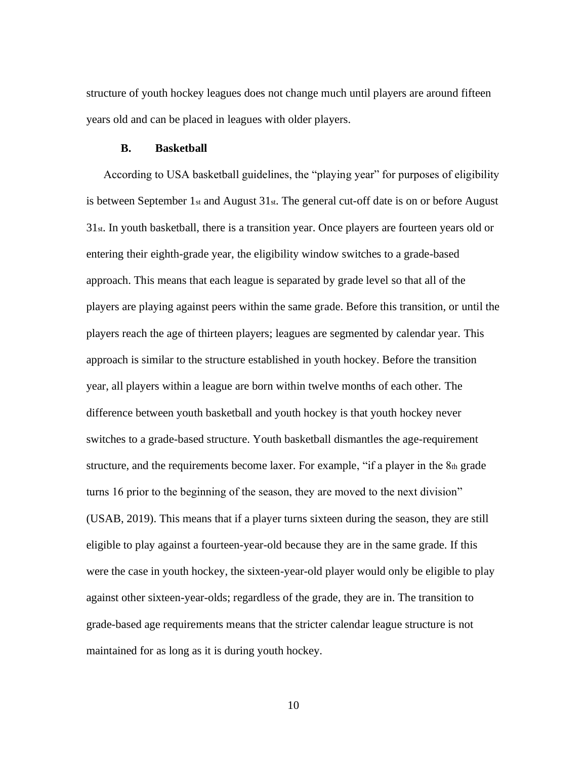structure of youth hockey leagues does not change much until players are around fifteen years old and can be placed in leagues with older players.

#### **B. Basketball**

According to USA basketball guidelines, the "playing year" for purposes of eligibility is between September  $1_{st}$  and August  $31_{st}$ . The general cut-off date is on or before August 31st. In youth basketball, there is a transition year. Once players are fourteen years old or entering their eighth-grade year, the eligibility window switches to a grade-based approach. This means that each league is separated by grade level so that all of the players are playing against peers within the same grade. Before this transition, or until the players reach the age of thirteen players; leagues are segmented by calendar year. This approach is similar to the structure established in youth hockey. Before the transition year, all players within a league are born within twelve months of each other. The difference between youth basketball and youth hockey is that youth hockey never switches to a grade-based structure. Youth basketball dismantles the age-requirement structure, and the requirements become laxer. For example, "if a player in the  $8<sub>th</sub>$  grade turns 16 prior to the beginning of the season, they are moved to the next division" (USAB, 2019). This means that if a player turns sixteen during the season, they are still eligible to play against a fourteen-year-old because they are in the same grade. If this were the case in youth hockey, the sixteen-year-old player would only be eligible to play against other sixteen-year-olds; regardless of the grade, they are in. The transition to grade-based age requirements means that the stricter calendar league structure is not maintained for as long as it is during youth hockey.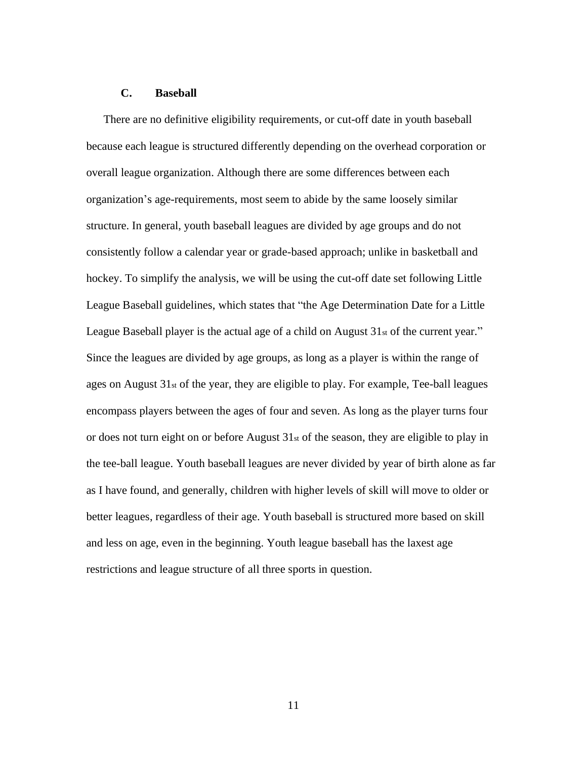#### **C. Baseball**

There are no definitive eligibility requirements, or cut-off date in youth baseball because each league is structured differently depending on the overhead corporation or overall league organization. Although there are some differences between each organization's age-requirements, most seem to abide by the same loosely similar structure. In general, youth baseball leagues are divided by age groups and do not consistently follow a calendar year or grade-based approach; unlike in basketball and hockey. To simplify the analysis, we will be using the cut-off date set following Little League Baseball guidelines, which states that "the Age Determination Date for a Little League Baseball player is the actual age of a child on August 31st of the current year." Since the leagues are divided by age groups, as long as a player is within the range of ages on August 31st of the year, they are eligible to play. For example, Tee-ball leagues encompass players between the ages of four and seven. As long as the player turns four or does not turn eight on or before August 31st of the season, they are eligible to play in the tee-ball league. Youth baseball leagues are never divided by year of birth alone as far as I have found, and generally, children with higher levels of skill will move to older or better leagues, regardless of their age. Youth baseball is structured more based on skill and less on age, even in the beginning. Youth league baseball has the laxest age restrictions and league structure of all three sports in question.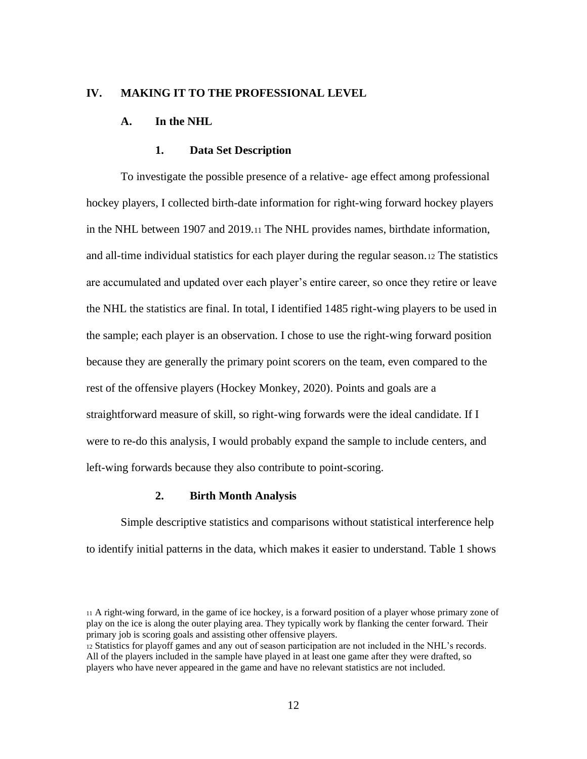#### **IV. MAKING IT TO THE PROFESSIONAL LEVEL**

#### **A. In the NHL**

#### **1. Data Set Description**

To investigate the possible presence of a relative- age effect among professional hockey players, I collected birth-date information for right-wing forward hockey players in the NHL between 1907 and 2019.<sup>11</sup> The NHL provides names, birthdate information, and all-time individual statistics for each player during the regular season.<sup>12</sup> The statistics are accumulated and updated over each player's entire career, so once they retire or leave the NHL the statistics are final. In total, I identified 1485 right-wing players to be used in the sample; each player is an observation. I chose to use the right-wing forward position because they are generally the primary point scorers on the team, even compared to the rest of the offensive players (Hockey Monkey, 2020). Points and goals are a straightforward measure of skill, so right-wing forwards were the ideal candidate. If I were to re-do this analysis, I would probably expand the sample to include centers, and left-wing forwards because they also contribute to point-scoring.

#### **2. Birth Month Analysis**

Simple descriptive statistics and comparisons without statistical interference help to identify initial patterns in the data, which makes it easier to understand. Table 1 shows

<sup>11</sup> A right-wing forward, in the game of ice hockey, is a forward position of a player whose primary zone of play on the ice is along the outer playing area. They typically work by flanking the center forward. Their primary job is scoring goals and assisting other offensive players.

<sup>12</sup> Statistics for playoff games and any out of season participation are not included in the NHL's records. All of the players included in the sample have played in at least one game after they were drafted, so players who have never appeared in the game and have no relevant statistics are not included.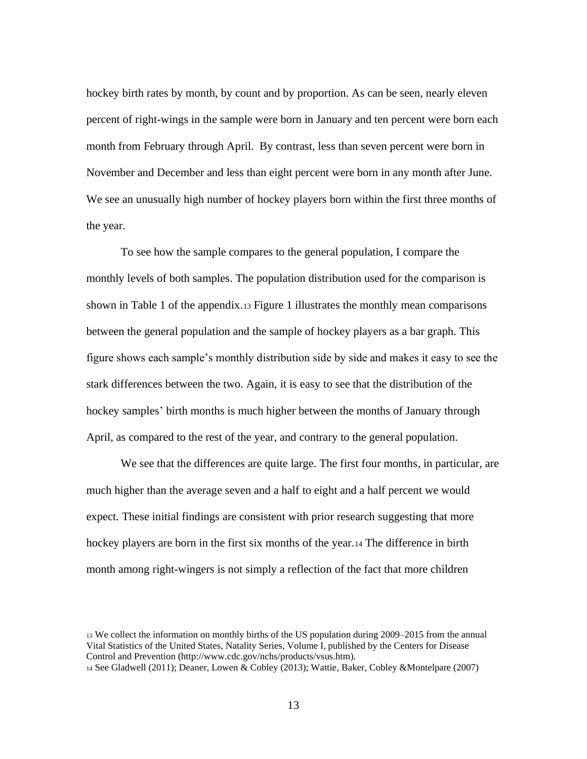hockey birth rates by month, by count and by proportion. As can be seen, nearly eleven percent of right-wings in the sample were born in January and ten percent were born each month from February through April. By contrast, less than seven percent were born in November and December and less than eight percent were born in any month after June. We see an unusually high number of hockey players born within the first three months of the year.

To see how the sample compares to the general population, I compare the monthly levels of both samples. The population distribution used for the comparison is shown in Table 1 of the appendix.<sup>13</sup> Figure 1 illustrates the monthly mean comparisons between the general population and the sample of hockey players as a bar graph. This figure shows each sample's monthly distribution side by side and makes it easy to see the stark differences between the two. Again, it is easy to see that the distribution of the hockey samples' birth months is much higher between the months of January through April, as compared to the rest of the year, and contrary to the general population.

We see that the differences are quite large. The first four months, in particular, are much higher than the average seven and a half to eight and a half percent we would expect. These initial findings are consistent with prior research suggesting that more hockey players are born in the first six months of the year.<sup>14</sup> The difference in birth month among right-wingers is not simply a reflection of the fact that more children

<sup>13</sup> We collect the information on monthly births of the US population during 2009–2015 from the annual Vital Statistics of the United States, Natality Series, Volume I, published by the Centers for Disease Control and Prevention (http://www.cdc.gov/nchs/products/vsus.htm).

<sup>14</sup> See Gladwell (2011); Deaner, Lowen & Cobley (2013); Wattie, Baker, Cobley &Montelpare (2007)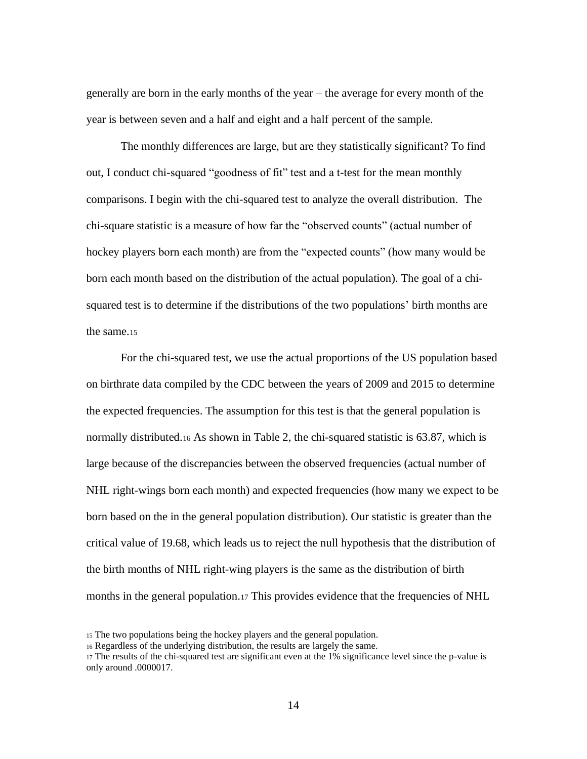generally are born in the early months of the year – the average for every month of the year is between seven and a half and eight and a half percent of the sample.

The monthly differences are large, but are they statistically significant? To find out, I conduct chi-squared "goodness of fit" test and a t-test for the mean monthly comparisons. I begin with the chi-squared test to analyze the overall distribution. The chi-square statistic is a measure of how far the "observed counts" (actual number of hockey players born each month) are from the "expected counts" (how many would be born each month based on the distribution of the actual population). The goal of a chisquared test is to determine if the distributions of the two populations' birth months are the same.<sup>15</sup>

For the chi-squared test, we use the actual proportions of the US population based on birthrate data compiled by the CDC between the years of 2009 and 2015 to determine the expected frequencies. The assumption for this test is that the general population is normally distributed.<sup>16</sup> As shown in Table 2, the chi-squared statistic is 63.87, which is large because of the discrepancies between the observed frequencies (actual number of NHL right-wings born each month) and expected frequencies (how many we expect to be born based on the in the general population distribution). Our statistic is greater than the critical value of 19.68, which leads us to reject the null hypothesis that the distribution of the birth months of NHL right-wing players is the same as the distribution of birth months in the general population.<sup>17</sup> This provides evidence that the frequencies of NHL

<sup>15</sup> The two populations being the hockey players and the general population.

<sup>16</sup> Regardless of the underlying distribution, the results are largely the same.

<sup>17</sup> The results of the chi-squared test are significant even at the 1% significance level since the p-value is only around .0000017.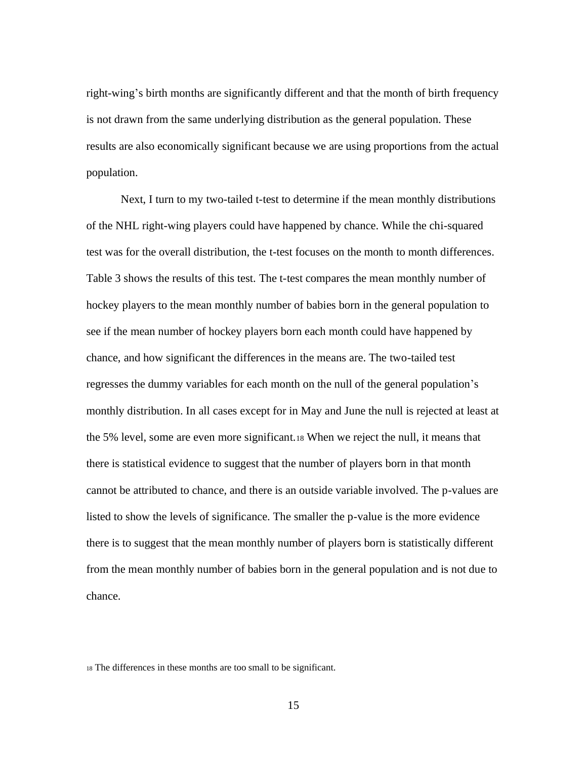right-wing's birth months are significantly different and that the month of birth frequency is not drawn from the same underlying distribution as the general population. These results are also economically significant because we are using proportions from the actual population.

Next, I turn to my two-tailed t-test to determine if the mean monthly distributions of the NHL right-wing players could have happened by chance. While the chi-squared test was for the overall distribution, the t-test focuses on the month to month differences. Table 3 shows the results of this test. The t-test compares the mean monthly number of hockey players to the mean monthly number of babies born in the general population to see if the mean number of hockey players born each month could have happened by chance, and how significant the differences in the means are. The two-tailed test regresses the dummy variables for each month on the null of the general population's monthly distribution. In all cases except for in May and June the null is rejected at least at the 5% level, some are even more significant.<sup>18</sup> When we reject the null, it means that there is statistical evidence to suggest that the number of players born in that month cannot be attributed to chance, and there is an outside variable involved. The p-values are listed to show the levels of significance. The smaller the p-value is the more evidence there is to suggest that the mean monthly number of players born is statistically different from the mean monthly number of babies born in the general population and is not due to chance.

<sup>18</sup> The differences in these months are too small to be significant.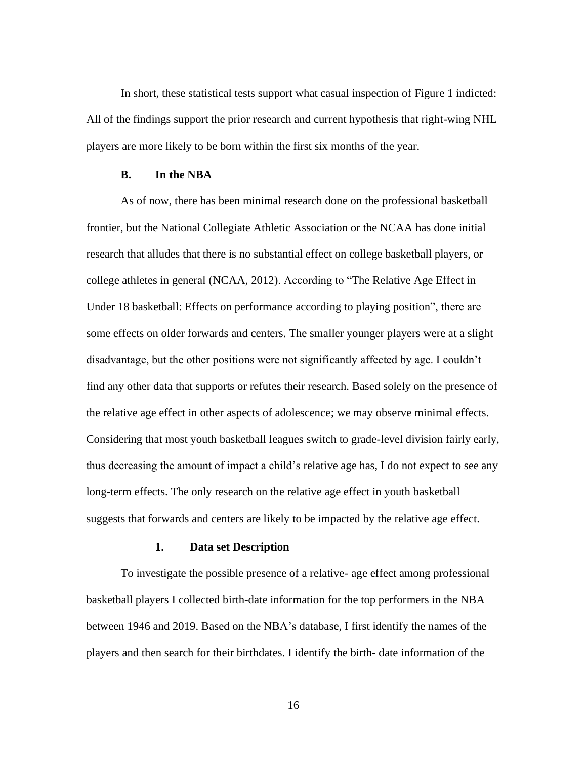In short, these statistical tests support what casual inspection of Figure 1 indicted: All of the findings support the prior research and current hypothesis that right-wing NHL players are more likely to be born within the first six months of the year.

#### **B. In the NBA**

As of now, there has been minimal research done on the professional basketball frontier, but the National Collegiate Athletic Association or the NCAA has done initial research that alludes that there is no substantial effect on college basketball players, or college athletes in general (NCAA, 2012). According to "The Relative Age Effect in Under 18 basketball: Effects on performance according to playing position", there are some effects on older forwards and centers. The smaller younger players were at a slight disadvantage, but the other positions were not significantly affected by age. I couldn't find any other data that supports or refutes their research. Based solely on the presence of the relative age effect in other aspects of adolescence; we may observe minimal effects. Considering that most youth basketball leagues switch to grade-level division fairly early, thus decreasing the amount of impact a child's relative age has, I do not expect to see any long-term effects. The only research on the relative age effect in youth basketball suggests that forwards and centers are likely to be impacted by the relative age effect.

#### **1. Data set Description**

To investigate the possible presence of a relative- age effect among professional basketball players I collected birth-date information for the top performers in the NBA between 1946 and 2019. Based on the NBA's database, I first identify the names of the players and then search for their birthdates. I identify the birth- date information of the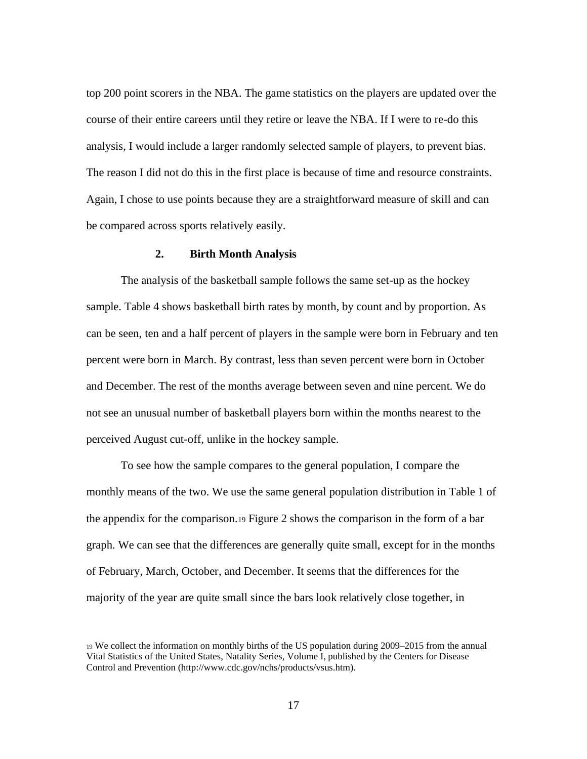top 200 point scorers in the NBA. The game statistics on the players are updated over the course of their entire careers until they retire or leave the NBA. If I were to re-do this analysis, I would include a larger randomly selected sample of players, to prevent bias. The reason I did not do this in the first place is because of time and resource constraints. Again, I chose to use points because they are a straightforward measure of skill and can be compared across sports relatively easily.

#### **2. Birth Month Analysis**

The analysis of the basketball sample follows the same set-up as the hockey sample. Table 4 shows basketball birth rates by month, by count and by proportion. As can be seen, ten and a half percent of players in the sample were born in February and ten percent were born in March. By contrast, less than seven percent were born in October and December. The rest of the months average between seven and nine percent. We do not see an unusual number of basketball players born within the months nearest to the perceived August cut-off, unlike in the hockey sample.

To see how the sample compares to the general population, I compare the monthly means of the two. We use the same general population distribution in Table 1 of the appendix for the comparison.<sup>19</sup> Figure 2 shows the comparison in the form of a bar graph. We can see that the differences are generally quite small, except for in the months of February, March, October, and December. It seems that the differences for the majority of the year are quite small since the bars look relatively close together, in

<sup>19</sup> We collect the information on monthly births of the US population during 2009–2015 from the annual Vital Statistics of the United States, Natality Series, Volume I, published by the Centers for Disease Control and Prevention (http://www.cdc.gov/nchs/products/vsus.htm).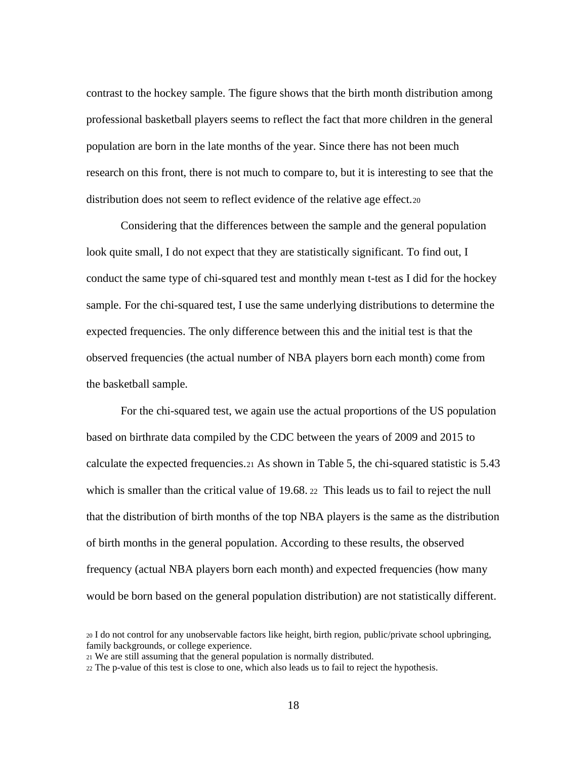contrast to the hockey sample. The figure shows that the birth month distribution among professional basketball players seems to reflect the fact that more children in the general population are born in the late months of the year. Since there has not been much research on this front, there is not much to compare to, but it is interesting to see that the distribution does not seem to reflect evidence of the relative age effect.<sup>20</sup>

Considering that the differences between the sample and the general population look quite small, I do not expect that they are statistically significant. To find out, I conduct the same type of chi-squared test and monthly mean t-test as I did for the hockey sample. For the chi-squared test, I use the same underlying distributions to determine the expected frequencies. The only difference between this and the initial test is that the observed frequencies (the actual number of NBA players born each month) come from the basketball sample.

For the chi-squared test, we again use the actual proportions of the US population based on birthrate data compiled by the CDC between the years of 2009 and 2015 to calculate the expected frequencies.<sup>21</sup> As shown in Table 5, the chi-squared statistic is 5.43 which is smaller than the critical value of 19.68. 22 This leads us to fail to reject the null that the distribution of birth months of the top NBA players is the same as the distribution of birth months in the general population. According to these results, the observed frequency (actual NBA players born each month) and expected frequencies (how many would be born based on the general population distribution) are not statistically different.

<sup>20</sup> I do not control for any unobservable factors like height, birth region, public/private school upbringing, family backgrounds, or college experience.

<sup>21</sup> We are still assuming that the general population is normally distributed.

<sup>22</sup> The p-value of this test is close to one, which also leads us to fail to reject the hypothesis.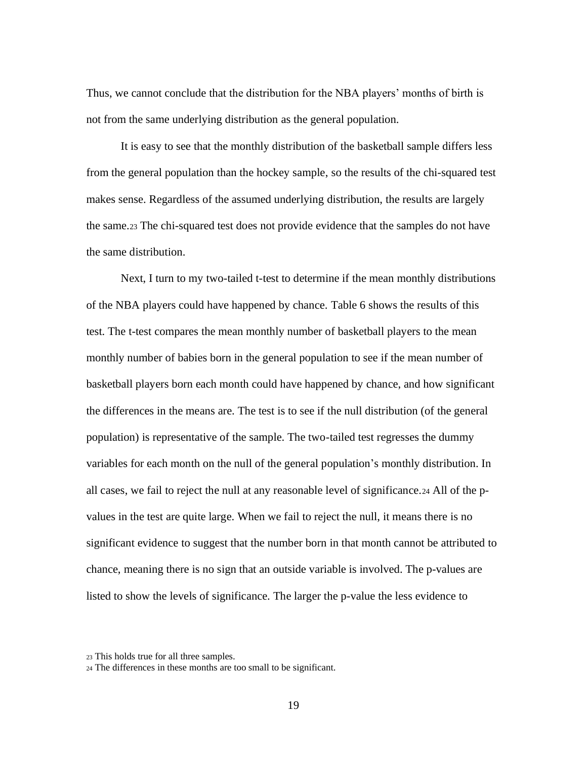Thus, we cannot conclude that the distribution for the NBA players' months of birth is not from the same underlying distribution as the general population.

It is easy to see that the monthly distribution of the basketball sample differs less from the general population than the hockey sample, so the results of the chi-squared test makes sense. Regardless of the assumed underlying distribution, the results are largely the same.<sup>23</sup> The chi-squared test does not provide evidence that the samples do not have the same distribution.

Next, I turn to my two-tailed t-test to determine if the mean monthly distributions of the NBA players could have happened by chance. Table 6 shows the results of this test. The t-test compares the mean monthly number of basketball players to the mean monthly number of babies born in the general population to see if the mean number of basketball players born each month could have happened by chance, and how significant the differences in the means are. The test is to see if the null distribution (of the general population) is representative of the sample. The two-tailed test regresses the dummy variables for each month on the null of the general population's monthly distribution. In all cases, we fail to reject the null at any reasonable level of significance.<sup>24</sup> All of the pvalues in the test are quite large. When we fail to reject the null, it means there is no significant evidence to suggest that the number born in that month cannot be attributed to chance, meaning there is no sign that an outside variable is involved. The p-values are listed to show the levels of significance. The larger the p-value the less evidence to

<sup>23</sup> This holds true for all three samples.

<sup>24</sup> The differences in these months are too small to be significant.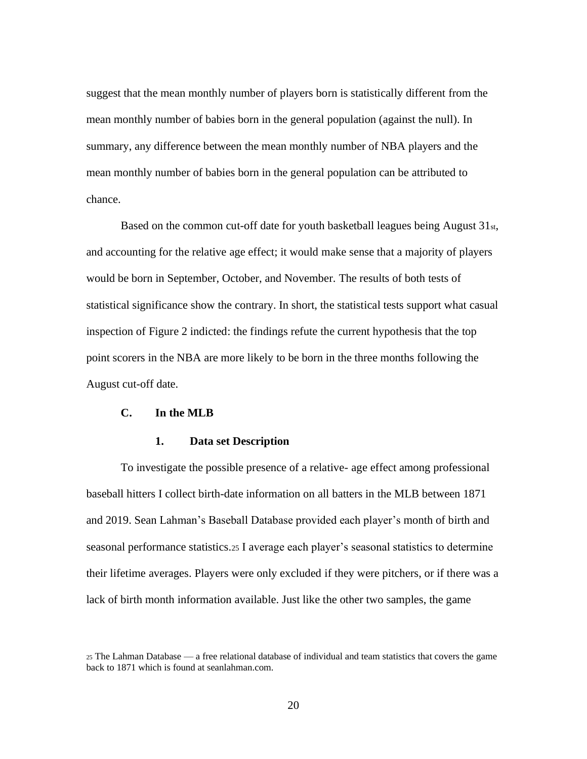suggest that the mean monthly number of players born is statistically different from the mean monthly number of babies born in the general population (against the null). In summary, any difference between the mean monthly number of NBA players and the mean monthly number of babies born in the general population can be attributed to chance.

Based on the common cut-off date for youth basketball leagues being August 31st, and accounting for the relative age effect; it would make sense that a majority of players would be born in September, October, and November. The results of both tests of statistical significance show the contrary. In short, the statistical tests support what casual inspection of Figure 2 indicted: the findings refute the current hypothesis that the top point scorers in the NBA are more likely to be born in the three months following the August cut-off date.

#### **C. In the MLB**

#### **1. Data set Description**

To investigate the possible presence of a relative- age effect among professional baseball hitters I collect birth-date information on all batters in the MLB between 1871 and 2019. Sean Lahman's Baseball Database provided each player's month of birth and seasonal performance statistics.<sup>25</sup> I average each player's seasonal statistics to determine their lifetime averages. Players were only excluded if they were pitchers, or if there was a lack of birth month information available. Just like the other two samples, the game

<sup>25</sup> The Lahman Database — a free relational database of individual and team statistics that covers the game back to 1871 which is found at seanlahman.com.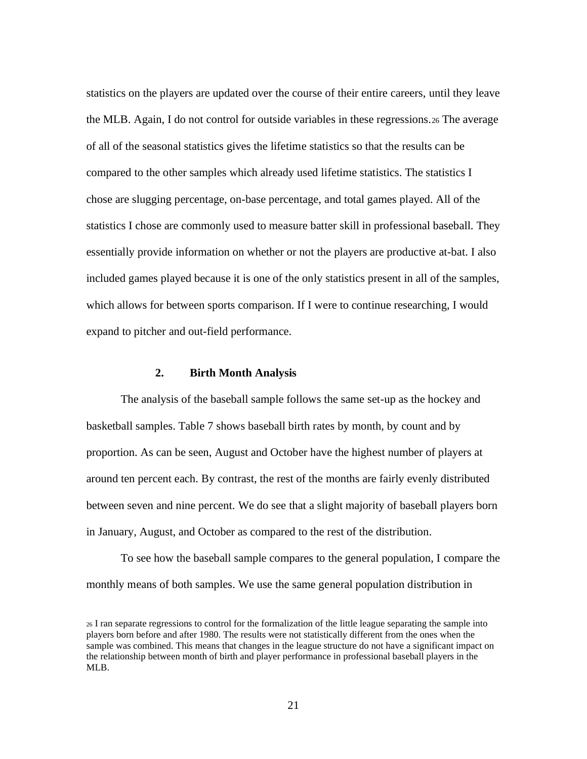statistics on the players are updated over the course of their entire careers, until they leave the MLB. Again, I do not control for outside variables in these regressions.<sup>26</sup> The average of all of the seasonal statistics gives the lifetime statistics so that the results can be compared to the other samples which already used lifetime statistics. The statistics I chose are slugging percentage, on-base percentage, and total games played. All of the statistics I chose are commonly used to measure batter skill in professional baseball. They essentially provide information on whether or not the players are productive at-bat. I also included games played because it is one of the only statistics present in all of the samples, which allows for between sports comparison. If I were to continue researching, I would expand to pitcher and out-field performance.

#### **2. Birth Month Analysis**

The analysis of the baseball sample follows the same set-up as the hockey and basketball samples. Table 7 shows baseball birth rates by month, by count and by proportion. As can be seen, August and October have the highest number of players at around ten percent each. By contrast, the rest of the months are fairly evenly distributed between seven and nine percent. We do see that a slight majority of baseball players born in January, August, and October as compared to the rest of the distribution.

To see how the baseball sample compares to the general population, I compare the monthly means of both samples. We use the same general population distribution in

<sup>26</sup> I ran separate regressions to control for the formalization of the little league separating the sample into players born before and after 1980. The results were not statistically different from the ones when the sample was combined. This means that changes in the league structure do not have a significant impact on the relationship between month of birth and player performance in professional baseball players in the MLB.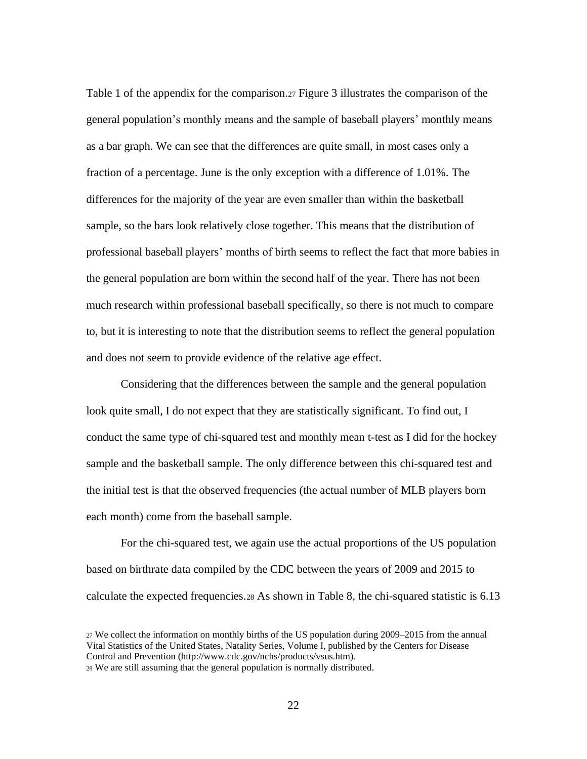Table 1 of the appendix for the comparison.<sup>27</sup> Figure 3 illustrates the comparison of the general population's monthly means and the sample of baseball players' monthly means as a bar graph. We can see that the differences are quite small, in most cases only a fraction of a percentage. June is the only exception with a difference of 1.01%. The differences for the majority of the year are even smaller than within the basketball sample, so the bars look relatively close together. This means that the distribution of professional baseball players' months of birth seems to reflect the fact that more babies in the general population are born within the second half of the year. There has not been much research within professional baseball specifically, so there is not much to compare to, but it is interesting to note that the distribution seems to reflect the general population and does not seem to provide evidence of the relative age effect.

Considering that the differences between the sample and the general population look quite small, I do not expect that they are statistically significant. To find out, I conduct the same type of chi-squared test and monthly mean t-test as I did for the hockey sample and the basketball sample. The only difference between this chi-squared test and the initial test is that the observed frequencies (the actual number of MLB players born each month) come from the baseball sample.

For the chi-squared test, we again use the actual proportions of the US population based on birthrate data compiled by the CDC between the years of 2009 and 2015 to calculate the expected frequencies.<sup>28</sup> As shown in Table 8, the chi-squared statistic is 6.13

<sup>27</sup> We collect the information on monthly births of the US population during 2009–2015 from the annual Vital Statistics of the United States, Natality Series, Volume I, published by the Centers for Disease Control and Prevention (http://www.cdc.gov/nchs/products/vsus.htm).

<sup>28</sup> We are still assuming that the general population is normally distributed.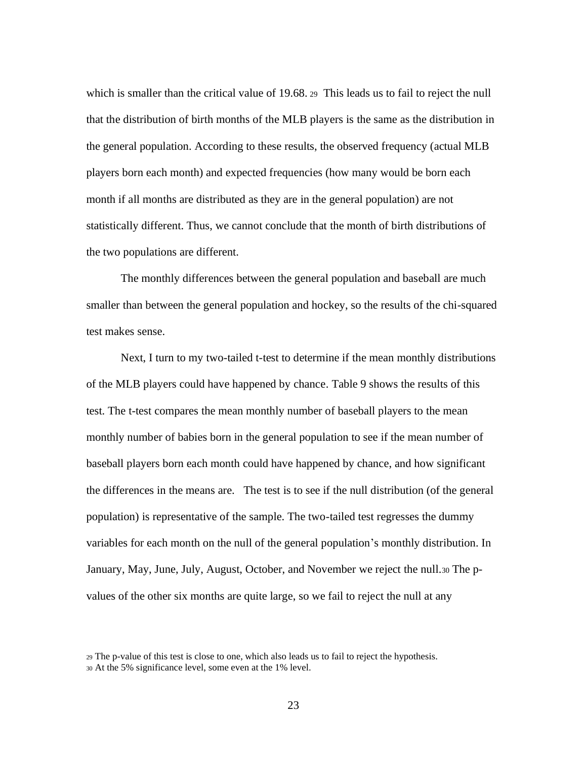which is smaller than the critical value of 19.68. 29 This leads us to fail to reject the null that the distribution of birth months of the MLB players is the same as the distribution in the general population. According to these results, the observed frequency (actual MLB players born each month) and expected frequencies (how many would be born each month if all months are distributed as they are in the general population) are not statistically different. Thus, we cannot conclude that the month of birth distributions of the two populations are different.

The monthly differences between the general population and baseball are much smaller than between the general population and hockey, so the results of the chi-squared test makes sense.

Next, I turn to my two-tailed t-test to determine if the mean monthly distributions of the MLB players could have happened by chance. Table 9 shows the results of this test. The t-test compares the mean monthly number of baseball players to the mean monthly number of babies born in the general population to see if the mean number of baseball players born each month could have happened by chance, and how significant the differences in the means are. The test is to see if the null distribution (of the general population) is representative of the sample. The two-tailed test regresses the dummy variables for each month on the null of the general population's monthly distribution. In January, May, June, July, August, October, and November we reject the null.<sup>30</sup> The pvalues of the other six months are quite large, so we fail to reject the null at any

<sup>29</sup> The p-value of this test is close to one, which also leads us to fail to reject the hypothesis. <sup>30</sup> At the 5% significance level, some even at the 1% level.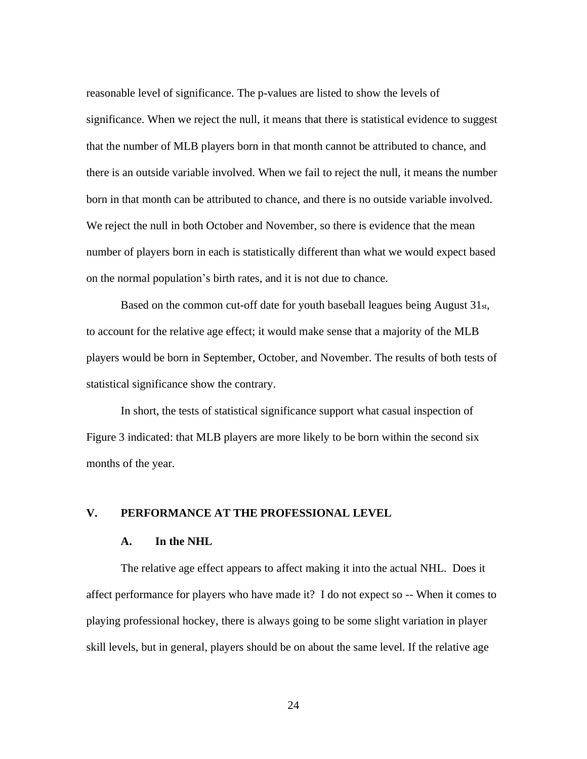reasonable level of significance. The p-values are listed to show the levels of significance. When we reject the null, it means that there is statistical evidence to suggest that the number of MLB players born in that month cannot be attributed to chance, and there is an outside variable involved. When we fail to reject the null, it means the number born in that month can be attributed to chance, and there is no outside variable involved. We reject the null in both October and November, so there is evidence that the mean number of players born in each is statistically different than what we would expect based on the normal population's birth rates, and it is not due to chance.

Based on the common cut-off date for youth baseball leagues being August 31st, to account for the relative age effect; it would make sense that a majority of the MLB players would be born in September, October, and November. The results of both tests of statistical significance show the contrary.

In short, the tests of statistical significance support what casual inspection of Figure 3 indicated: that MLB players are more likely to be born within the second six months of the year.

#### **V. PERFORMANCE AT THE PROFESSIONAL LEVEL**

#### **A. In the NHL**

The relative age effect appears to affect making it into the actual NHL. Does it affect performance for players who have made it? I do not expect so -- When it comes to playing professional hockey, there is always going to be some slight variation in player skill levels, but in general, players should be on about the same level. If the relative age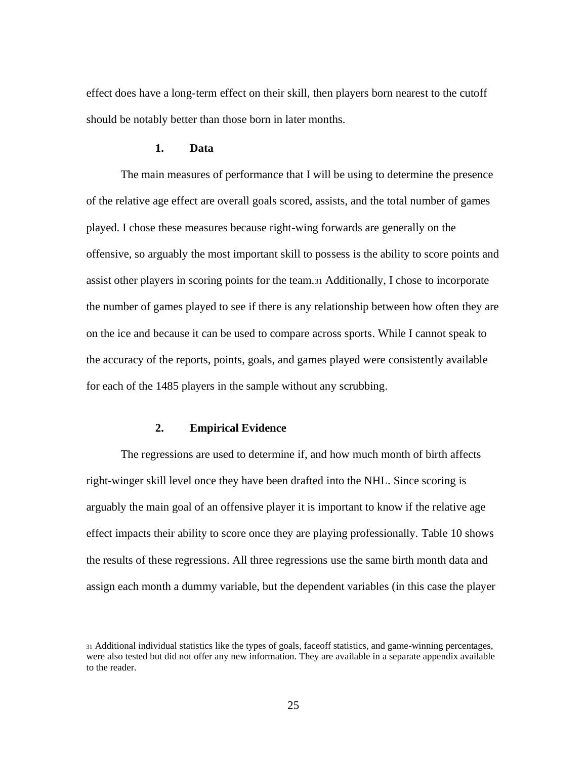effect does have a long-term effect on their skill, then players born nearest to the cutoff should be notably better than those born in later months.

#### **1. Data**

The main measures of performance that I will be using to determine the presence of the relative age effect are overall goals scored, assists, and the total number of games played. I chose these measures because right-wing forwards are generally on the offensive, so arguably the most important skill to possess is the ability to score points and assist other players in scoring points for the team.<sup>31</sup> Additionally, I chose to incorporate the number of games played to see if there is any relationship between how often they are on the ice and because it can be used to compare across sports. While I cannot speak to the accuracy of the reports, points, goals, and games played were consistently available for each of the 1485 players in the sample without any scrubbing.

#### **2. Empirical Evidence**

The regressions are used to determine if, and how much month of birth affects right-winger skill level once they have been drafted into the NHL. Since scoring is arguably the main goal of an offensive player it is important to know if the relative age effect impacts their ability to score once they are playing professionally. Table 10 shows the results of these regressions. All three regressions use the same birth month data and assign each month a dummy variable, but the dependent variables (in this case the player

<sup>31</sup> Additional individual statistics like the types of goals, faceoff statistics, and game-winning percentages, were also tested but did not offer any new information. They are available in a separate appendix available to the reader.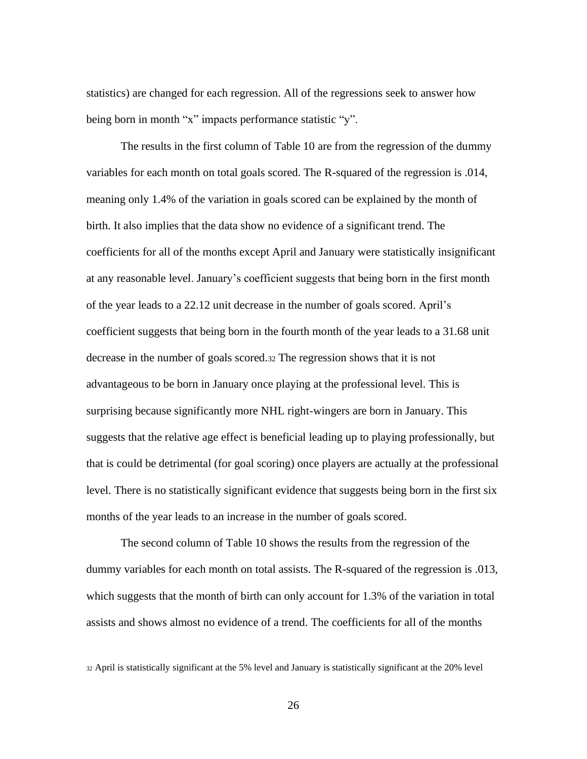statistics) are changed for each regression. All of the regressions seek to answer how being born in month "x" impacts performance statistic "y".

The results in the first column of Table 10 are from the regression of the dummy variables for each month on total goals scored. The R-squared of the regression is .014, meaning only 1.4% of the variation in goals scored can be explained by the month of birth. It also implies that the data show no evidence of a significant trend. The coefficients for all of the months except April and January were statistically insignificant at any reasonable level. January's coefficient suggests that being born in the first month of the year leads to a 22.12 unit decrease in the number of goals scored. April's coefficient suggests that being born in the fourth month of the year leads to a 31.68 unit decrease in the number of goals scored.<sup>32</sup> The regression shows that it is not advantageous to be born in January once playing at the professional level. This is surprising because significantly more NHL right-wingers are born in January. This suggests that the relative age effect is beneficial leading up to playing professionally, but that is could be detrimental (for goal scoring) once players are actually at the professional level. There is no statistically significant evidence that suggests being born in the first six months of the year leads to an increase in the number of goals scored.

The second column of Table 10 shows the results from the regression of the dummy variables for each month on total assists. The R-squared of the regression is .013, which suggests that the month of birth can only account for 1.3% of the variation in total assists and shows almost no evidence of a trend. The coefficients for all of the months

<sup>32</sup> April is statistically significant at the 5% level and January is statistically significant at the 20% level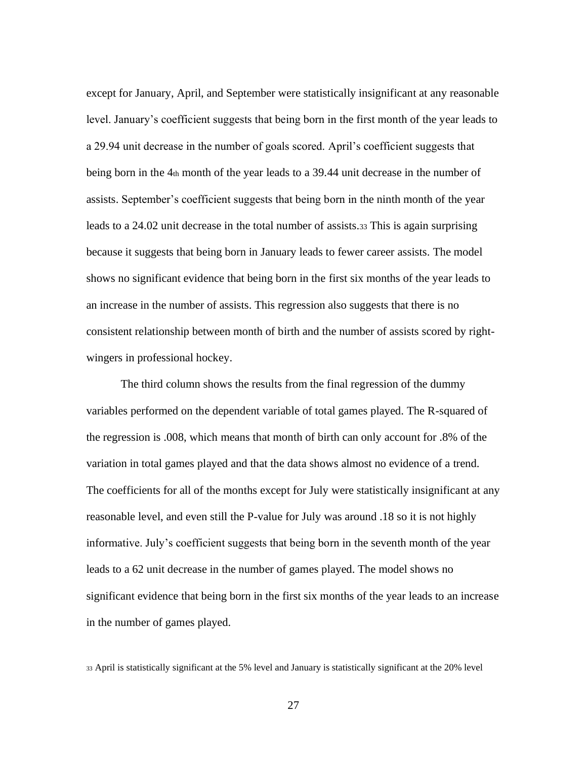except for January, April, and September were statistically insignificant at any reasonable level. January's coefficient suggests that being born in the first month of the year leads to a 29.94 unit decrease in the number of goals scored. April's coefficient suggests that being born in the 4th month of the year leads to a 39.44 unit decrease in the number of assists. September's coefficient suggests that being born in the ninth month of the year leads to a 24.02 unit decrease in the total number of assists.<sup>33</sup> This is again surprising because it suggests that being born in January leads to fewer career assists. The model shows no significant evidence that being born in the first six months of the year leads to an increase in the number of assists. This regression also suggests that there is no consistent relationship between month of birth and the number of assists scored by rightwingers in professional hockey.

The third column shows the results from the final regression of the dummy variables performed on the dependent variable of total games played. The R-squared of the regression is .008, which means that month of birth can only account for .8% of the variation in total games played and that the data shows almost no evidence of a trend. The coefficients for all of the months except for July were statistically insignificant at any reasonable level, and even still the P-value for July was around .18 so it is not highly informative. July's coefficient suggests that being born in the seventh month of the year leads to a 62 unit decrease in the number of games played. The model shows no significant evidence that being born in the first six months of the year leads to an increase in the number of games played.

<sup>33</sup> April is statistically significant at the 5% level and January is statistically significant at the 20% level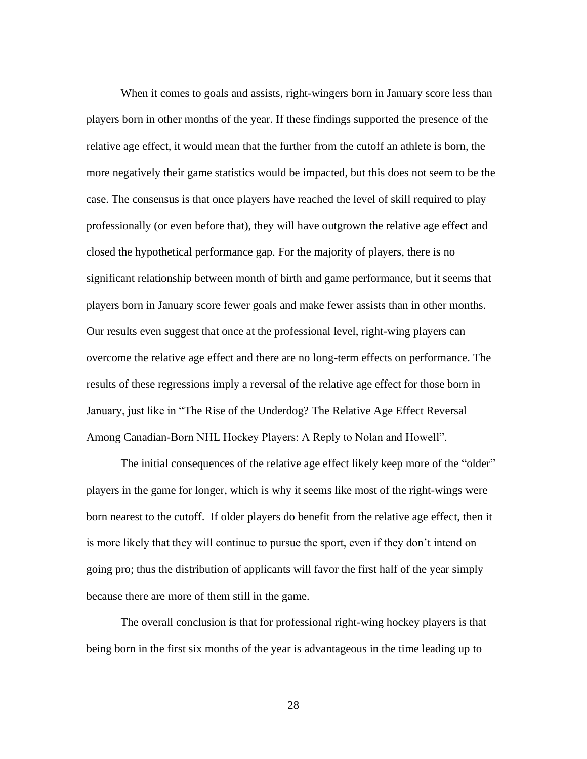When it comes to goals and assists, right-wingers born in January score less than players born in other months of the year. If these findings supported the presence of the relative age effect, it would mean that the further from the cutoff an athlete is born, the more negatively their game statistics would be impacted, but this does not seem to be the case. The consensus is that once players have reached the level of skill required to play professionally (or even before that), they will have outgrown the relative age effect and closed the hypothetical performance gap. For the majority of players, there is no significant relationship between month of birth and game performance, but it seems that players born in January score fewer goals and make fewer assists than in other months. Our results even suggest that once at the professional level, right-wing players can overcome the relative age effect and there are no long-term effects on performance. The results of these regressions imply a reversal of the relative age effect for those born in January, just like in "The Rise of the Underdog? The Relative Age Effect Reversal Among Canadian-Born NHL Hockey Players: A Reply to Nolan and Howell".

The initial consequences of the relative age effect likely keep more of the "older" players in the game for longer, which is why it seems like most of the right-wings were born nearest to the cutoff. If older players do benefit from the relative age effect, then it is more likely that they will continue to pursue the sport, even if they don't intend on going pro; thus the distribution of applicants will favor the first half of the year simply because there are more of them still in the game.

The overall conclusion is that for professional right-wing hockey players is that being born in the first six months of the year is advantageous in the time leading up to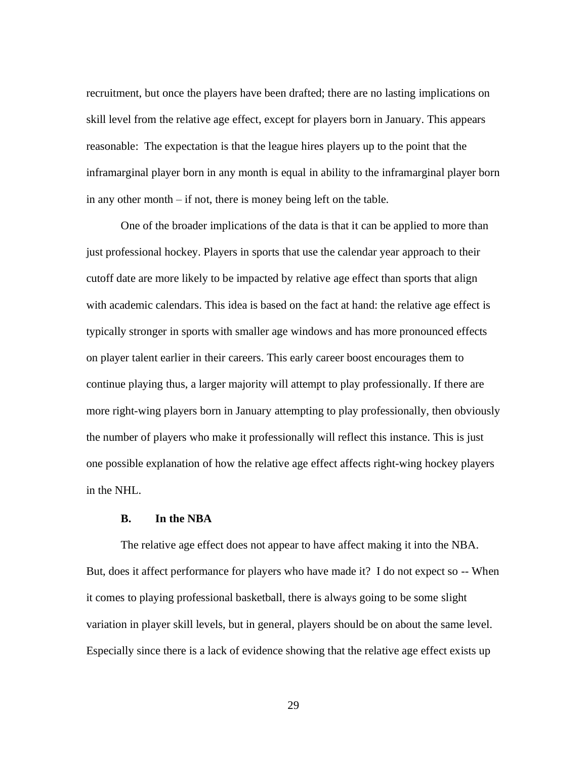recruitment, but once the players have been drafted; there are no lasting implications on skill level from the relative age effect, except for players born in January. This appears reasonable: The expectation is that the league hires players up to the point that the inframarginal player born in any month is equal in ability to the inframarginal player born in any other month – if not, there is money being left on the table.

One of the broader implications of the data is that it can be applied to more than just professional hockey. Players in sports that use the calendar year approach to their cutoff date are more likely to be impacted by relative age effect than sports that align with academic calendars. This idea is based on the fact at hand: the relative age effect is typically stronger in sports with smaller age windows and has more pronounced effects on player talent earlier in their careers. This early career boost encourages them to continue playing thus, a larger majority will attempt to play professionally. If there are more right-wing players born in January attempting to play professionally, then obviously the number of players who make it professionally will reflect this instance. This is just one possible explanation of how the relative age effect affects right-wing hockey players in the NHL.

#### **B. In the NBA**

The relative age effect does not appear to have affect making it into the NBA. But, does it affect performance for players who have made it? I do not expect so -- When it comes to playing professional basketball, there is always going to be some slight variation in player skill levels, but in general, players should be on about the same level. Especially since there is a lack of evidence showing that the relative age effect exists up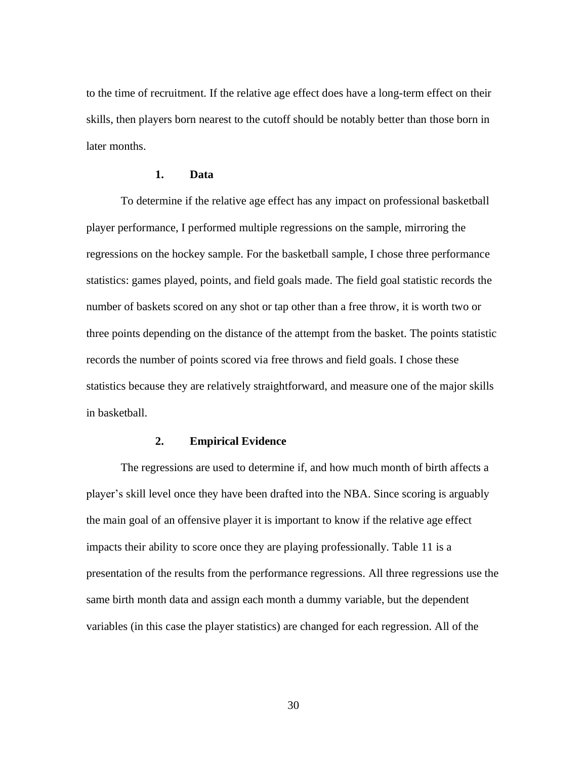to the time of recruitment. If the relative age effect does have a long-term effect on their skills, then players born nearest to the cutoff should be notably better than those born in later months.

#### **1. Data**

To determine if the relative age effect has any impact on professional basketball player performance, I performed multiple regressions on the sample, mirroring the regressions on the hockey sample. For the basketball sample, I chose three performance statistics: games played, points, and field goals made. The field goal statistic records the number of baskets scored on any shot or tap other than a free throw, it is worth two or three points depending on the distance of the attempt from the basket. The points statistic records the number of points scored via free throws and field goals. I chose these statistics because they are relatively straightforward, and measure one of the major skills in basketball.

#### **2. Empirical Evidence**

The regressions are used to determine if, and how much month of birth affects a player's skill level once they have been drafted into the NBA. Since scoring is arguably the main goal of an offensive player it is important to know if the relative age effect impacts their ability to score once they are playing professionally. Table 11 is a presentation of the results from the performance regressions. All three regressions use the same birth month data and assign each month a dummy variable, but the dependent variables (in this case the player statistics) are changed for each regression. All of the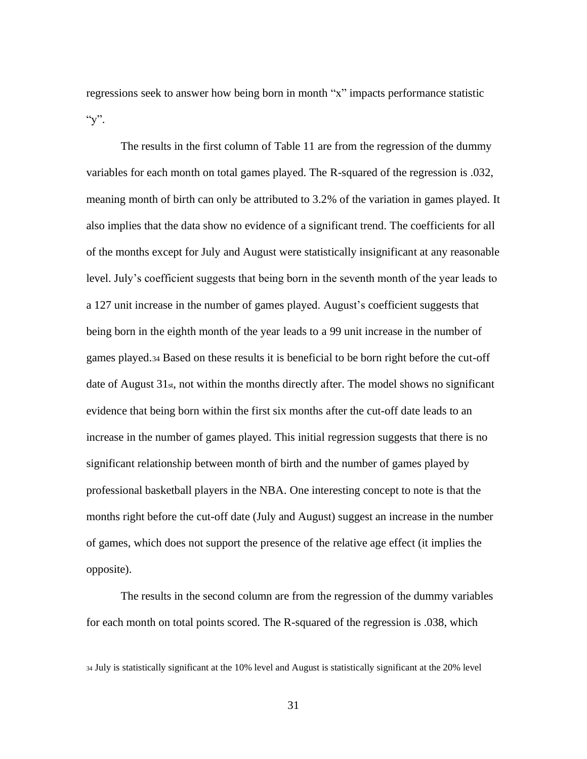regressions seek to answer how being born in month "x" impacts performance statistic " $y$ ".

The results in the first column of Table 11 are from the regression of the dummy variables for each month on total games played. The R-squared of the regression is .032, meaning month of birth can only be attributed to 3.2% of the variation in games played. It also implies that the data show no evidence of a significant trend. The coefficients for all of the months except for July and August were statistically insignificant at any reasonable level. July's coefficient suggests that being born in the seventh month of the year leads to a 127 unit increase in the number of games played. August's coefficient suggests that being born in the eighth month of the year leads to a 99 unit increase in the number of games played.<sup>34</sup> Based on these results it is beneficial to be born right before the cut-off date of August 31<sub>st</sub>, not within the months directly after. The model shows no significant evidence that being born within the first six months after the cut-off date leads to an increase in the number of games played. This initial regression suggests that there is no significant relationship between month of birth and the number of games played by professional basketball players in the NBA. One interesting concept to note is that the months right before the cut-off date (July and August) suggest an increase in the number of games, which does not support the presence of the relative age effect (it implies the opposite).

The results in the second column are from the regression of the dummy variables for each month on total points scored. The R-squared of the regression is .038, which

<sup>34</sup> July is statistically significant at the 10% level and August is statistically significant at the 20% level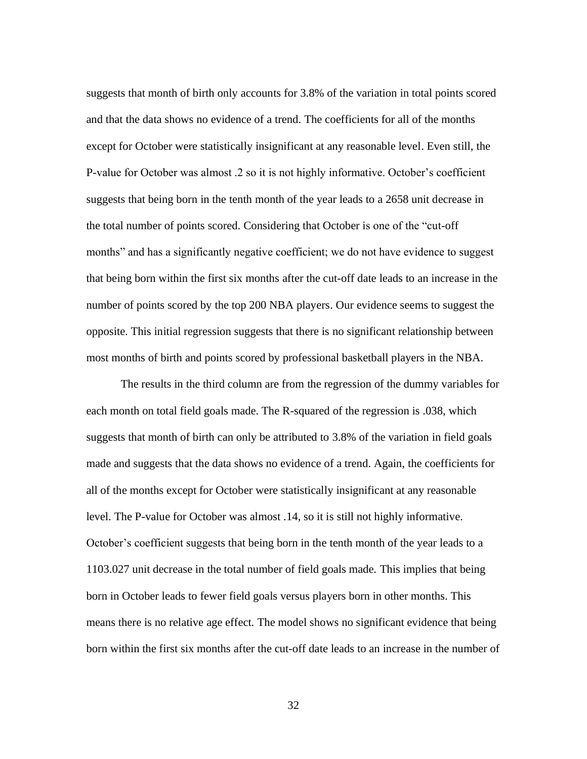suggests that month of birth only accounts for 3.8% of the variation in total points scored and that the data shows no evidence of a trend. The coefficients for all of the months except for October were statistically insignificant at any reasonable level. Even still, the P-value for October was almost .2 so it is not highly informative. October's coefficient suggests that being born in the tenth month of the year leads to a 2658 unit decrease in the total number of points scored. Considering that October is one of the "cut-off months" and has a significantly negative coefficient; we do not have evidence to suggest that being born within the first six months after the cut-off date leads to an increase in the number of points scored by the top 200 NBA players. Our evidence seems to suggest the opposite. This initial regression suggests that there is no significant relationship between most months of birth and points scored by professional basketball players in the NBA.

The results in the third column are from the regression of the dummy variables for each month on total field goals made. The R-squared of the regression is .038, which suggests that month of birth can only be attributed to 3.8% of the variation in field goals made and suggests that the data shows no evidence of a trend. Again, the coefficients for all of the months except for October were statistically insignificant at any reasonable level. The P-value for October was almost .14, so it is still not highly informative. October's coefficient suggests that being born in the tenth month of the year leads to a 1103.027 unit decrease in the total number of field goals made. This implies that being born in October leads to fewer field goals versus players born in other months. This means there is no relative age effect. The model shows no significant evidence that being born within the first six months after the cut-off date leads to an increase in the number of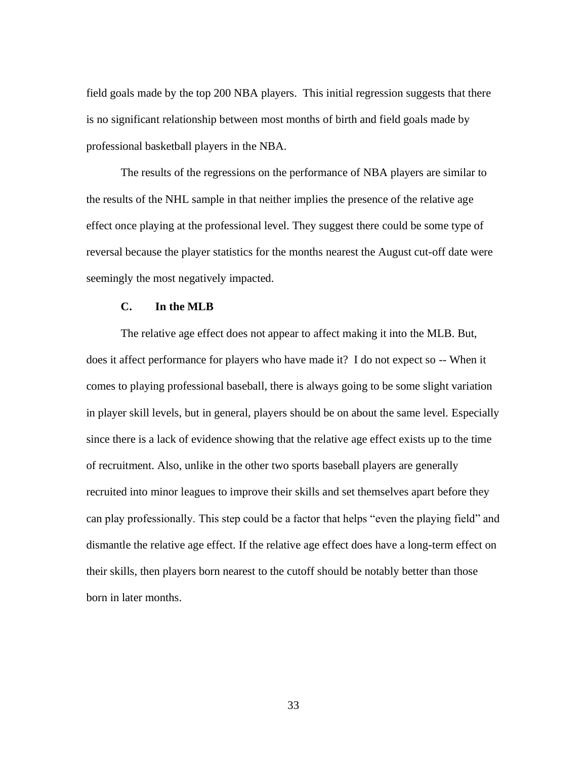field goals made by the top 200 NBA players. This initial regression suggests that there is no significant relationship between most months of birth and field goals made by professional basketball players in the NBA.

The results of the regressions on the performance of NBA players are similar to the results of the NHL sample in that neither implies the presence of the relative age effect once playing at the professional level. They suggest there could be some type of reversal because the player statistics for the months nearest the August cut-off date were seemingly the most negatively impacted.

#### **C. In the MLB**

The relative age effect does not appear to affect making it into the MLB. But, does it affect performance for players who have made it? I do not expect so -- When it comes to playing professional baseball, there is always going to be some slight variation in player skill levels, but in general, players should be on about the same level. Especially since there is a lack of evidence showing that the relative age effect exists up to the time of recruitment. Also, unlike in the other two sports baseball players are generally recruited into minor leagues to improve their skills and set themselves apart before they can play professionally. This step could be a factor that helps "even the playing field" and dismantle the relative age effect. If the relative age effect does have a long-term effect on their skills, then players born nearest to the cutoff should be notably better than those born in later months.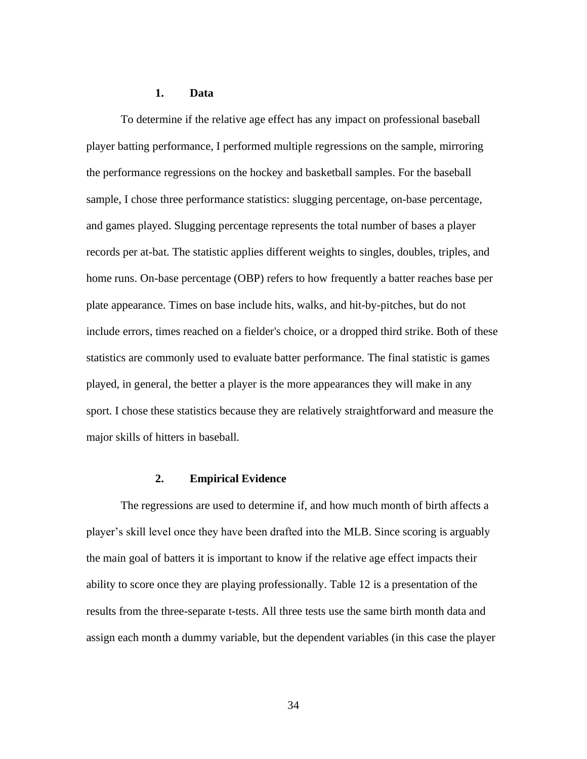#### **1. Data**

To determine if the relative age effect has any impact on professional baseball player batting performance, I performed multiple regressions on the sample, mirroring the performance regressions on the hockey and basketball samples. For the baseball sample, I chose three performance statistics: slugging percentage, on-base percentage, and games played. Slugging percentage represents the total number of bases a player records per at-bat. The statistic applies different weights to singles, doubles, triples, and home runs. On-base percentage (OBP) refers to how frequently a batter reaches base per plate appearance. Times on base include hits, walks, and hit-by-pitches, but do not include errors, times reached on a fielder's choice, or a dropped third strike. Both of these statistics are commonly used to evaluate batter performance. The final statistic is games played, in general, the better a player is the more appearances they will make in any sport. I chose these statistics because they are relatively straightforward and measure the major skills of hitters in baseball.

#### **2. Empirical Evidence**

The regressions are used to determine if, and how much month of birth affects a player's skill level once they have been drafted into the MLB. Since scoring is arguably the main goal of batters it is important to know if the relative age effect impacts their ability to score once they are playing professionally. Table 12 is a presentation of the results from the three-separate t-tests. All three tests use the same birth month data and assign each month a dummy variable, but the dependent variables (in this case the player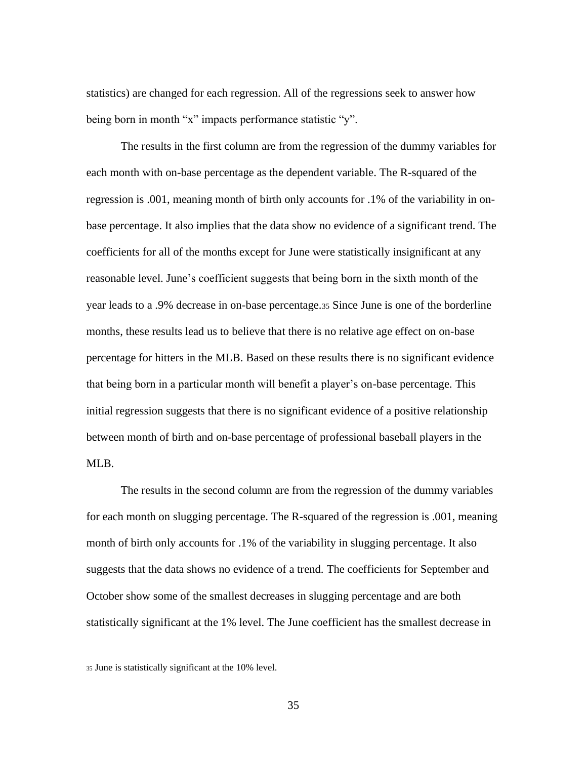statistics) are changed for each regression. All of the regressions seek to answer how being born in month "x" impacts performance statistic "y".

The results in the first column are from the regression of the dummy variables for each month with on-base percentage as the dependent variable. The R-squared of the regression is .001, meaning month of birth only accounts for .1% of the variability in onbase percentage. It also implies that the data show no evidence of a significant trend. The coefficients for all of the months except for June were statistically insignificant at any reasonable level. June's coefficient suggests that being born in the sixth month of the year leads to a .9% decrease in on-base percentage.<sup>35</sup> Since June is one of the borderline months, these results lead us to believe that there is no relative age effect on on-base percentage for hitters in the MLB. Based on these results there is no significant evidence that being born in a particular month will benefit a player's on-base percentage. This initial regression suggests that there is no significant evidence of a positive relationship between month of birth and on-base percentage of professional baseball players in the ML<sub>B</sub>.

The results in the second column are from the regression of the dummy variables for each month on slugging percentage. The R-squared of the regression is .001, meaning month of birth only accounts for .1% of the variability in slugging percentage. It also suggests that the data shows no evidence of a trend. The coefficients for September and October show some of the smallest decreases in slugging percentage and are both statistically significant at the 1% level. The June coefficient has the smallest decrease in

<sup>35</sup> June is statistically significant at the 10% level.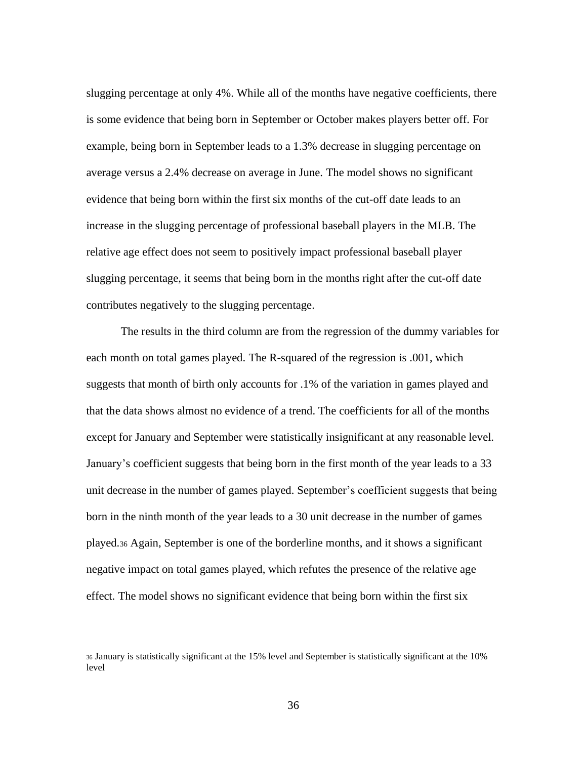slugging percentage at only 4%. While all of the months have negative coefficients, there is some evidence that being born in September or October makes players better off. For example, being born in September leads to a 1.3% decrease in slugging percentage on average versus a 2.4% decrease on average in June. The model shows no significant evidence that being born within the first six months of the cut-off date leads to an increase in the slugging percentage of professional baseball players in the MLB. The relative age effect does not seem to positively impact professional baseball player slugging percentage, it seems that being born in the months right after the cut-off date contributes negatively to the slugging percentage.

The results in the third column are from the regression of the dummy variables for each month on total games played. The R-squared of the regression is .001, which suggests that month of birth only accounts for .1% of the variation in games played and that the data shows almost no evidence of a trend. The coefficients for all of the months except for January and September were statistically insignificant at any reasonable level. January's coefficient suggests that being born in the first month of the year leads to a 33 unit decrease in the number of games played. September's coefficient suggests that being born in the ninth month of the year leads to a 30 unit decrease in the number of games played.<sup>36</sup> Again, September is one of the borderline months, and it shows a significant negative impact on total games played, which refutes the presence of the relative age effect. The model shows no significant evidence that being born within the first six

<sup>36</sup> January is statistically significant at the 15% level and September is statistically significant at the 10% level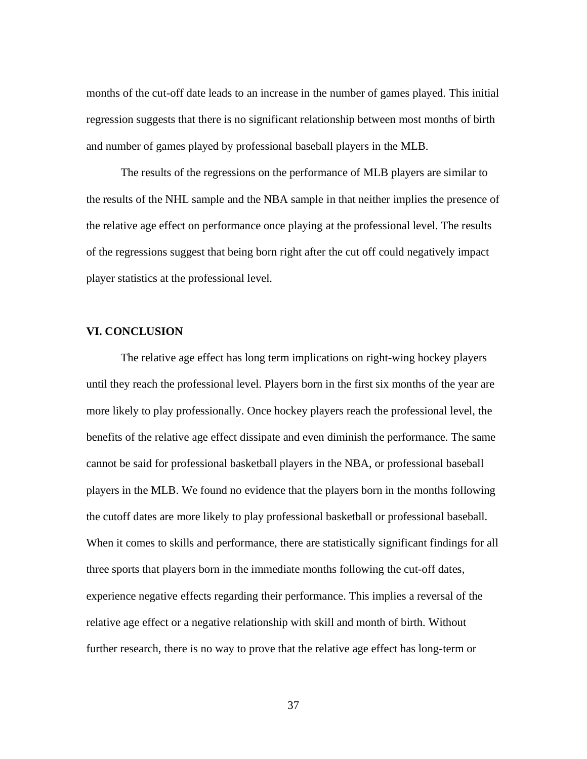months of the cut-off date leads to an increase in the number of games played. This initial regression suggests that there is no significant relationship between most months of birth and number of games played by professional baseball players in the MLB.

The results of the regressions on the performance of MLB players are similar to the results of the NHL sample and the NBA sample in that neither implies the presence of the relative age effect on performance once playing at the professional level. The results of the regressions suggest that being born right after the cut off could negatively impact player statistics at the professional level.

#### **VI. CONCLUSION**

The relative age effect has long term implications on right-wing hockey players until they reach the professional level. Players born in the first six months of the year are more likely to play professionally. Once hockey players reach the professional level, the benefits of the relative age effect dissipate and even diminish the performance. The same cannot be said for professional basketball players in the NBA, or professional baseball players in the MLB. We found no evidence that the players born in the months following the cutoff dates are more likely to play professional basketball or professional baseball. When it comes to skills and performance, there are statistically significant findings for all three sports that players born in the immediate months following the cut-off dates, experience negative effects regarding their performance. This implies a reversal of the relative age effect or a negative relationship with skill and month of birth. Without further research, there is no way to prove that the relative age effect has long-term or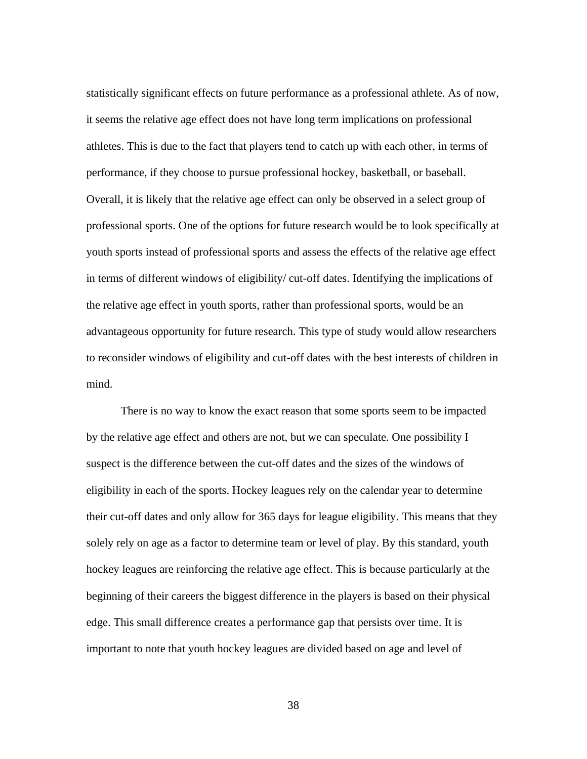statistically significant effects on future performance as a professional athlete. As of now, it seems the relative age effect does not have long term implications on professional athletes. This is due to the fact that players tend to catch up with each other, in terms of performance, if they choose to pursue professional hockey, basketball, or baseball. Overall, it is likely that the relative age effect can only be observed in a select group of professional sports. One of the options for future research would be to look specifically at youth sports instead of professional sports and assess the effects of the relative age effect in terms of different windows of eligibility/ cut-off dates. Identifying the implications of the relative age effect in youth sports, rather than professional sports, would be an advantageous opportunity for future research. This type of study would allow researchers to reconsider windows of eligibility and cut-off dates with the best interests of children in mind.

There is no way to know the exact reason that some sports seem to be impacted by the relative age effect and others are not, but we can speculate. One possibility I suspect is the difference between the cut-off dates and the sizes of the windows of eligibility in each of the sports. Hockey leagues rely on the calendar year to determine their cut-off dates and only allow for 365 days for league eligibility. This means that they solely rely on age as a factor to determine team or level of play. By this standard, youth hockey leagues are reinforcing the relative age effect. This is because particularly at the beginning of their careers the biggest difference in the players is based on their physical edge. This small difference creates a performance gap that persists over time. It is important to note that youth hockey leagues are divided based on age and level of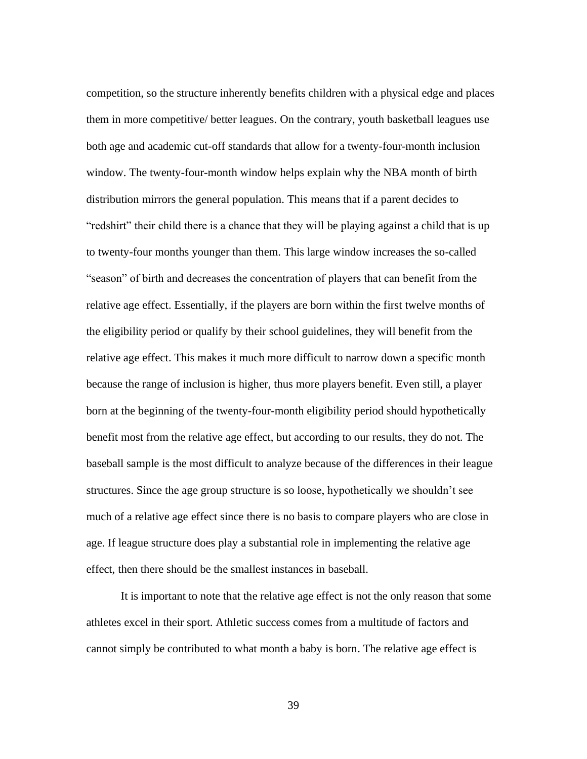competition, so the structure inherently benefits children with a physical edge and places them in more competitive/ better leagues. On the contrary, youth basketball leagues use both age and academic cut-off standards that allow for a twenty-four-month inclusion window. The twenty-four-month window helps explain why the NBA month of birth distribution mirrors the general population. This means that if a parent decides to "redshirt" their child there is a chance that they will be playing against a child that is up to twenty-four months younger than them. This large window increases the so-called "season" of birth and decreases the concentration of players that can benefit from the relative age effect. Essentially, if the players are born within the first twelve months of the eligibility period or qualify by their school guidelines, they will benefit from the relative age effect. This makes it much more difficult to narrow down a specific month because the range of inclusion is higher, thus more players benefit. Even still, a player born at the beginning of the twenty-four-month eligibility period should hypothetically benefit most from the relative age effect, but according to our results, they do not. The baseball sample is the most difficult to analyze because of the differences in their league structures. Since the age group structure is so loose, hypothetically we shouldn't see much of a relative age effect since there is no basis to compare players who are close in age. If league structure does play a substantial role in implementing the relative age effect, then there should be the smallest instances in baseball.

It is important to note that the relative age effect is not the only reason that some athletes excel in their sport. Athletic success comes from a multitude of factors and cannot simply be contributed to what month a baby is born. The relative age effect is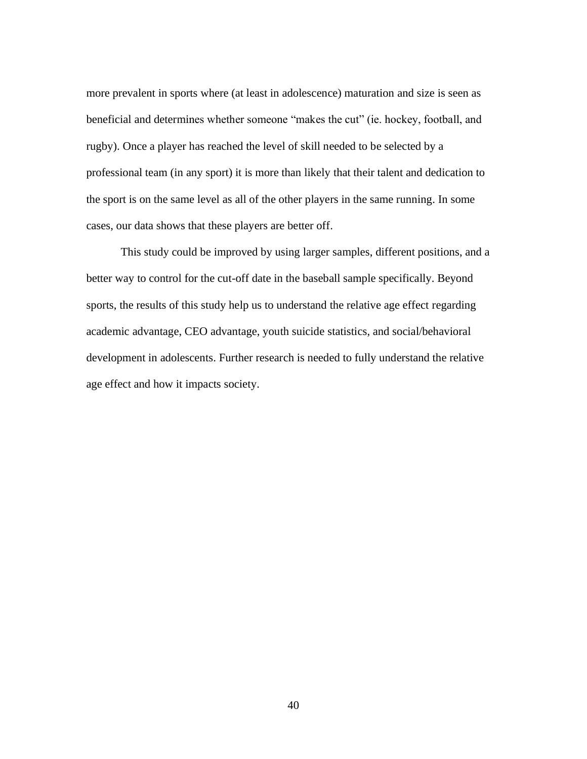more prevalent in sports where (at least in adolescence) maturation and size is seen as beneficial and determines whether someone "makes the cut" (ie. hockey, football, and rugby). Once a player has reached the level of skill needed to be selected by a professional team (in any sport) it is more than likely that their talent and dedication to the sport is on the same level as all of the other players in the same running. In some cases, our data shows that these players are better off.

This study could be improved by using larger samples, different positions, and a better way to control for the cut-off date in the baseball sample specifically. Beyond sports, the results of this study help us to understand the relative age effect regarding academic advantage, CEO advantage, youth suicide statistics, and social/behavioral development in adolescents. Further research is needed to fully understand the relative age effect and how it impacts society.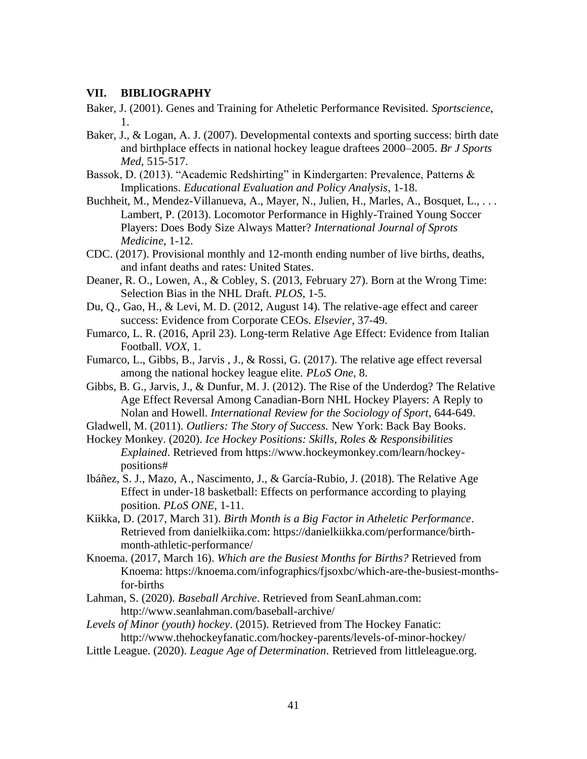#### **VII. BIBLIOGRAPHY**

Baker, J. (2001). Genes and Training for Atheletic Performance Revisited. *Sportscience*, 1.

- Baker, J., & Logan, A. J. (2007). Developmental contexts and sporting success: birth date and birthplace effects in national hockey league draftees 2000–2005. *Br J Sports Med*, 515-517.
- Bassok, D. (2013). "Academic Redshirting" in Kindergarten: Prevalence, Patterns & Implications. *Educational Evaluation and Policy Analysis*, 1-18.
- Buchheit, M., Mendez-Villanueva, A., Mayer, N., Julien, H., Marles, A., Bosquet, L., . . . Lambert, P. (2013). Locomotor Performance in Highly-Trained Young Soccer Players: Does Body Size Always Matter? *International Journal of Sprots Medicine*, 1-12.
- CDC. (2017). Provisional monthly and 12-month ending number of live births, deaths, and infant deaths and rates: United States.
- Deaner, R. O., Lowen, A., & Cobley, S. (2013, February 27). Born at the Wrong Time: Selection Bias in the NHL Draft. *PLOS*, 1-5.
- Du, Q., Gao, H., & Levi, M. D. (2012, August 14). The relative-age effect and career success: Evidence from Corporate CEOs. *Elsevier*, 37-49.
- Fumarco, L. R. (2016, April 23). Long-term Relative Age Effect: Evidence from Italian Football. *VOX*, 1.
- Fumarco, L., Gibbs, B., Jarvis , J., & Rossi, G. (2017). The relative age effect reversal among the national hockey league elite. *PLoS One*, 8.
- Gibbs, B. G., Jarvis, J., & Dunfur, M. J. (2012). The Rise of the Underdog? The Relative Age Effect Reversal Among Canadian-Born NHL Hockey Players: A Reply to Nolan and Howell. *International Review for the Sociology of Sport*, 644-649.
- Gladwell, M. (2011). *Outliers: The Story of Success.* New York: Back Bay Books.
- Hockey Monkey. (2020). *Ice Hockey Positions: Skills, Roles & Responsibilities Explained*. Retrieved from https://www.hockeymonkey.com/learn/hockeypositions#
- Ibáñez, S. J., Mazo, A., Nascimento, J., & García-Rubio, J. (2018). The Relative Age Effect in under-18 basketball: Effects on performance according to playing position. *PLoS ONE*, 1-11.
- Kiikka, D. (2017, March 31). *Birth Month is a Big Factor in Atheletic Performance*. Retrieved from danielkiika.com: https://danielkiikka.com/performance/birthmonth-athletic-performance/
- Knoema. (2017, March 16). *Which are the Busiest Months for Births?* Retrieved from Knoema: https://knoema.com/infographics/fjsoxbc/which-are-the-busiest-monthsfor-births
- Lahman, S. (2020). *Baseball Archive*. Retrieved from SeanLahman.com: http://www.seanlahman.com/baseball-archive/
- *Levels of Minor (youth) hockey*. (2015). Retrieved from The Hockey Fanatic: http://www.thehockeyfanatic.com/hockey-parents/levels-of-minor-hockey/
- Little League. (2020). *League Age of Determination*. Retrieved from littleleague.org.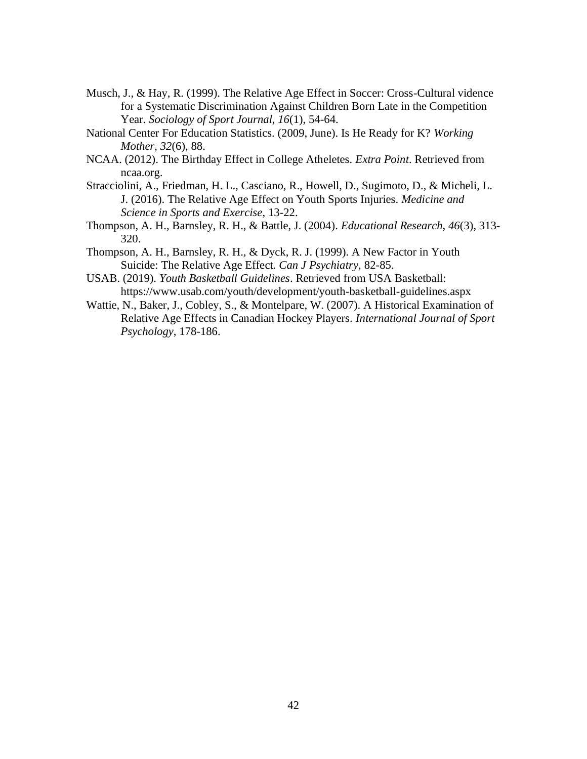- Musch, J., & Hay, R. (1999). The Relative Age Effect in Soccer: Cross-Cultural vidence for a Systematic Discrimination Against Children Born Late in the Competition Year. *Sociology of Sport Journal, 16*(1), 54-64.
- National Center For Education Statistics. (2009, June). Is He Ready for K? *Working Mother, 32*(6), 88.
- NCAA. (2012). The Birthday Effect in College Atheletes. *Extra Point*. Retrieved from ncaa.org.
- Stracciolini, A., Friedman, H. L., Casciano, R., Howell, D., Sugimoto, D., & Micheli, L. J. (2016). The Relative Age Effect on Youth Sports Injuries. *Medicine and Science in Sports and Exercise*, 13-22.
- Thompson, A. H., Barnsley, R. H., & Battle, J. (2004). *Educational Research, 46*(3), 313- 320.
- Thompson, A. H., Barnsley, R. H., & Dyck, R. J. (1999). A New Factor in Youth Suicide: The Relative Age Effect. *Can J Psychiatry*, 82-85.
- USAB. (2019). *Youth Basketball Guidelines*. Retrieved from USA Basketball: https://www.usab.com/youth/development/youth-basketball-guidelines.aspx
- Wattie, N., Baker, J., Cobley, S., & Montelpare, W. (2007). A Historical Examination of Relative Age Effects in Canadian Hockey Players. *International Journal of Sport Psychology*, 178-186.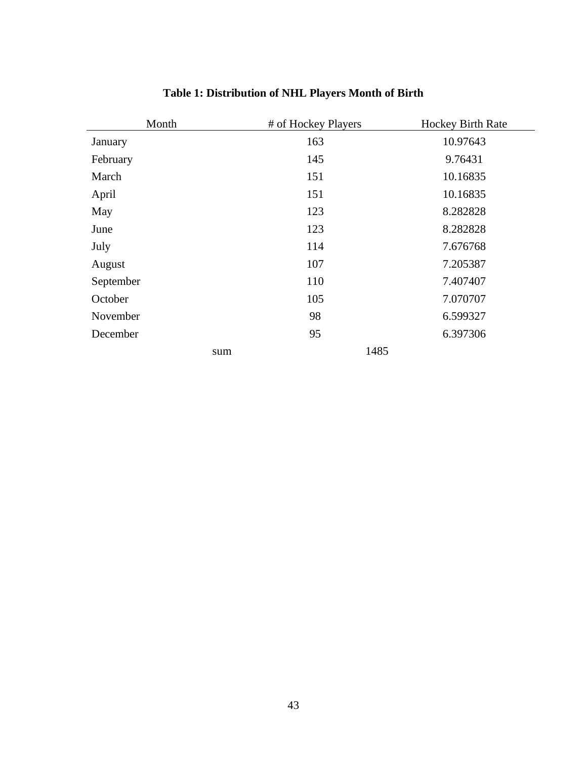| Month     | # of Hockey Players | Hockey Birth Rate |
|-----------|---------------------|-------------------|
| January   | 163                 | 10.97643          |
| February  | 145                 | 9.76431           |
| March     | 151                 | 10.16835          |
| April     | 151                 | 10.16835          |
| May       | 123                 | 8.282828          |
| June      | 123                 | 8.282828          |
| July      | 114                 | 7.676768          |
| August    | 107                 | 7.205387          |
| September | 110                 | 7.407407          |
| October   | 105                 | 7.070707          |
| November  | 98                  | 6.599327          |
| December  | 95                  | 6.397306          |
| sum       | 1485                |                   |

# **Table 1: Distribution of NHL Players Month of Birth**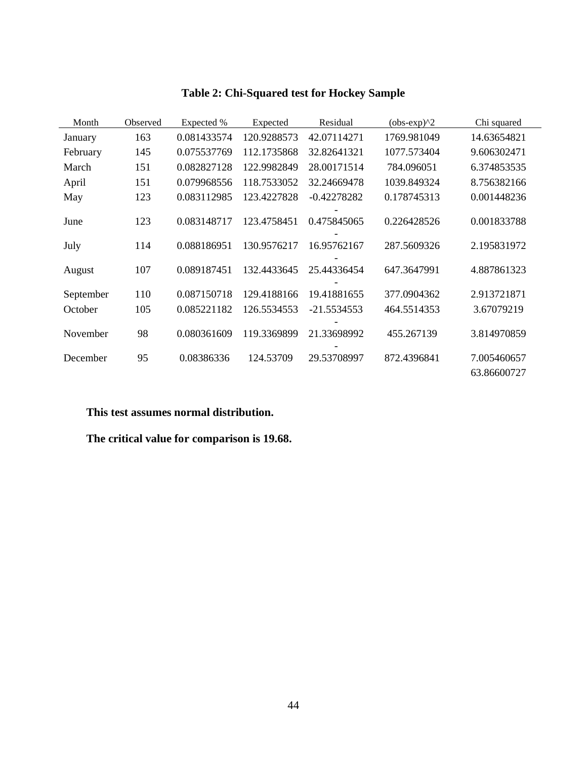| Month     | Observed | Expected %  | Expected    | Residual      | $(obs-exp)^2$ | Chi squared                |
|-----------|----------|-------------|-------------|---------------|---------------|----------------------------|
| January   | 163      | 0.081433574 | 120.9288573 | 42.07114271   | 1769.981049   | 14.63654821                |
| February  | 145      | 0.075537769 | 112.1735868 | 32.82641321   | 1077.573404   | 9.606302471                |
| March     | 151      | 0.082827128 | 122.9982849 | 28.00171514   | 784.096051    | 6.374853535                |
| April     | 151      | 0.079968556 | 118.7533052 | 32.24669478   | 1039.849324   | 8.756382166                |
| May       | 123      | 0.083112985 | 123.4227828 | $-0.42278282$ | 0.178745313   | 0.001448236                |
| June      | 123      | 0.083148717 | 123.4758451 | 0.475845065   | 0.226428526   | 0.001833788                |
| July      | 114      | 0.088186951 | 130.9576217 | 16.95762167   | 287.5609326   | 2.195831972                |
| August    | 107      | 0.089187451 | 132.4433645 | 25.44336454   | 647.3647991   | 4.887861323                |
| September | 110      | 0.087150718 | 129.4188166 | 19.41881655   | 377.0904362   | 2.913721871                |
| October   | 105      | 0.085221182 | 126.5534553 | $-21.5534553$ | 464.5514353   | 3.67079219                 |
| November  | 98       | 0.080361609 | 119.3369899 | 21.33698992   | 455.267139    | 3.814970859                |
| December  | 95       | 0.08386336  | 124.53709   | 29.53708997   | 872.4396841   | 7.005460657<br>63.86600727 |

# **Table 2: Chi-Squared test for Hockey Sample**

#### **This test assumes normal distribution.**

**The critical value for comparison is 19.68.**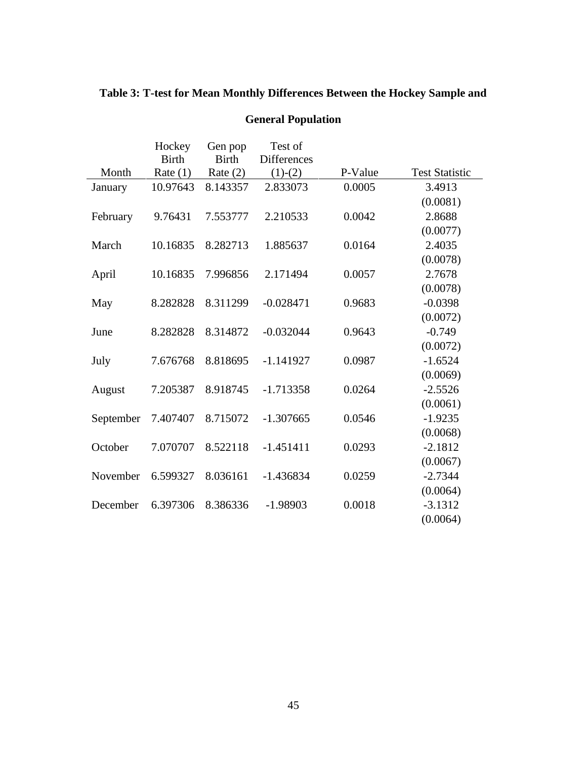|           | Hockey       | Gen pop      | Test of            |         |                       |
|-----------|--------------|--------------|--------------------|---------|-----------------------|
|           | <b>Birth</b> | <b>Birth</b> | <b>Differences</b> |         |                       |
| Month     | Rate $(1)$   | Rate $(2)$   | $(1)-(2)$          | P-Value | <b>Test Statistic</b> |
| January   | 10.97643     | 8.143357     | 2.833073           | 0.0005  | 3.4913                |
|           |              |              |                    |         | (0.0081)              |
| February  | 9.76431      | 7.553777     | 2.210533           | 0.0042  | 2.8688                |
|           |              |              |                    |         | (0.0077)              |
| March     | 10.16835     | 8.282713     | 1.885637           | 0.0164  | 2.4035                |
|           |              |              |                    |         | (0.0078)              |
| April     | 10.16835     | 7.996856     | 2.171494           | 0.0057  | 2.7678                |
|           |              |              |                    |         | (0.0078)              |
| May       | 8.282828     | 8.311299     | $-0.028471$        | 0.9683  | $-0.0398$             |
|           |              |              |                    |         | (0.0072)              |
| June      | 8.282828     | 8.314872     | $-0.032044$        | 0.9643  | $-0.749$              |
|           |              |              |                    |         | (0.0072)              |
| July      | 7.676768     | 8.818695     | $-1.141927$        | 0.0987  | $-1.6524$             |
|           |              |              |                    |         | (0.0069)              |
| August    | 7.205387     | 8.918745     | $-1.713358$        | 0.0264  | $-2.5526$             |
|           |              |              |                    |         | (0.0061)              |
| September | 7.407407     | 8.715072     | $-1.307665$        | 0.0546  | $-1.9235$             |
|           |              |              |                    |         | (0.0068)              |
| October   | 7.070707     | 8.522118     | $-1.451411$        | 0.0293  | $-2.1812$             |
|           |              |              |                    |         | (0.0067)              |
| November  | 6.599327     | 8.036161     | $-1.436834$        | 0.0259  | $-2.7344$             |
|           |              |              |                    |         | (0.0064)              |
| December  | 6.397306     | 8.386336     | $-1.98903$         | 0.0018  | $-3.1312$             |
|           |              |              |                    |         | (0.0064)              |

# **Table 3: T-test for Mean Monthly Differences Between the Hockey Sample and**

### **General Population**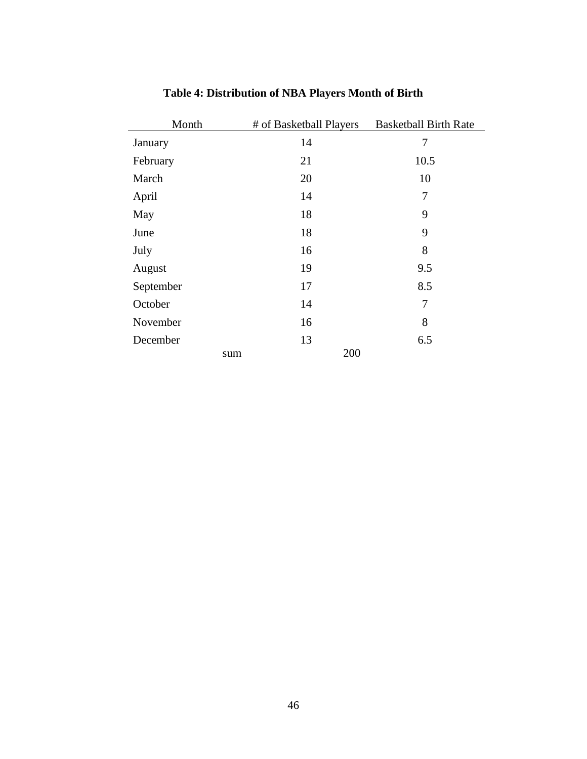| Month     | # of Basketball Players | <b>Basketball Birth Rate</b> |
|-----------|-------------------------|------------------------------|
| January   | 14                      | 7                            |
| February  | 21                      | 10.5                         |
| March     | 20                      | 10                           |
| April     | 14                      | 7                            |
| May       | 18                      | 9                            |
| June      | 18                      | 9                            |
| July      | 16                      | 8                            |
| August    | 19                      | 9.5                          |
| September | 17                      | 8.5                          |
| October   | 14                      | 7                            |
| November  | 16                      | 8                            |
| December  | 13                      | 6.5                          |
|           | 200<br>sum              |                              |

# **Table 4: Distribution of NBA Players Month of Birth**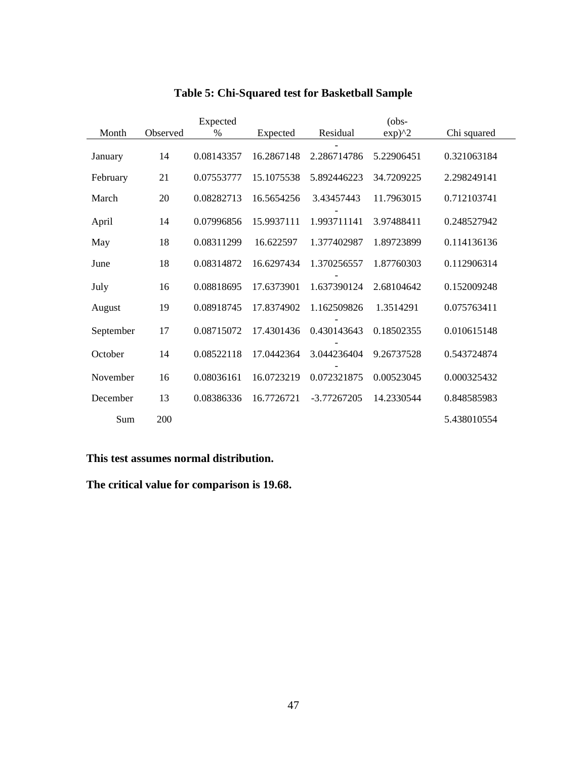|           | $(obs-$<br>Expected                   |            |            |                                        |            |             |
|-----------|---------------------------------------|------------|------------|----------------------------------------|------------|-------------|
| Month     | Observed<br>$\frac{0}{0}$<br>Expected |            | Residual   | $exp)$ <sup><math>\wedge</math>2</sup> |            |             |
|           |                                       |            |            |                                        |            |             |
| January   | 14                                    | 0.08143357 | 16.2867148 | 2.286714786                            | 5.22906451 | 0.321063184 |
| February  | 21                                    | 0.07553777 | 15.1075538 | 5.892446223                            | 34.7209225 | 2.298249141 |
| March     | 20                                    | 0.08282713 | 16.5654256 | 3.43457443                             | 11.7963015 | 0.712103741 |
| April     | 14                                    | 0.07996856 | 15.9937111 | 1.993711141                            | 3.97488411 | 0.248527942 |
| May       | 18                                    | 0.08311299 | 16.622597  | 1.377402987                            | 1.89723899 | 0.114136136 |
| June      | 18                                    | 0.08314872 | 16.6297434 | 1.370256557                            | 1.87760303 | 0.112906314 |
| July      | 16                                    | 0.08818695 | 17.6373901 | 1.637390124                            | 2.68104642 | 0.152009248 |
| August    | 19                                    | 0.08918745 | 17.8374902 | 1.162509826                            | 1.3514291  | 0.075763411 |
| September | 17                                    | 0.08715072 | 17.4301436 | 0.430143643                            | 0.18502355 | 0.010615148 |
| October   | 14                                    | 0.08522118 | 17.0442364 | 3.044236404                            | 9.26737528 | 0.543724874 |
| November  | 16                                    | 0.08036161 | 16.0723219 | 0.072321875                            | 0.00523045 | 0.000325432 |
| December  | 13                                    | 0.08386336 | 16.7726721 | $-3.77267205$                          | 14.2330544 | 0.848585983 |
| Sum       | 200                                   |            |            |                                        |            | 5.438010554 |

# **Table 5: Chi-Squared test for Basketball Sample**

**This test assumes normal distribution.**

**The critical value for comparison is 19.68.**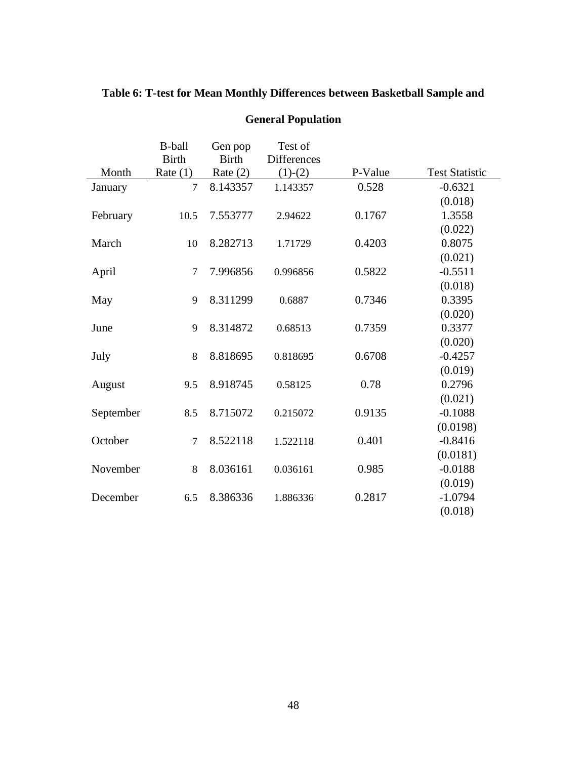|           | <b>B-ball</b><br><b>Birth</b> | Gen pop<br><b>Birth</b> | Test of<br><b>Differences</b> |         |                       |
|-----------|-------------------------------|-------------------------|-------------------------------|---------|-----------------------|
| Month     | Rate $(1)$                    | Rate $(2)$              | $(1)-(2)$                     | P-Value | <b>Test Statistic</b> |
| January   | $\tau$                        | 8.143357                | 1.143357                      | 0.528   | $-0.6321$             |
|           |                               |                         |                               |         | (0.018)               |
| February  | 10.5                          | 7.553777                | 2.94622                       | 0.1767  | 1.3558                |
|           |                               |                         |                               |         | (0.022)               |
| March     | 10                            | 8.282713                | 1.71729                       | 0.4203  | 0.8075                |
|           |                               |                         |                               |         | (0.021)               |
| April     | $\tau$                        | 7.996856                | 0.996856                      | 0.5822  | $-0.5511$             |
|           |                               |                         |                               |         | (0.018)               |
| May       | 9                             | 8.311299                | 0.6887                        | 0.7346  | 0.3395                |
|           |                               |                         |                               |         | (0.020)               |
| June      | 9                             | 8.314872                | 0.68513                       | 0.7359  | 0.3377                |
|           |                               |                         |                               |         | (0.020)               |
| July      | 8                             | 8.818695                | 0.818695                      | 0.6708  | $-0.4257$             |
|           |                               |                         |                               |         | (0.019)               |
| August    | 9.5                           | 8.918745                | 0.58125                       | 0.78    | 0.2796                |
|           |                               |                         |                               |         | (0.021)               |
| September | 8.5                           | 8.715072                | 0.215072                      | 0.9135  | $-0.1088$             |
|           |                               |                         |                               |         | (0.0198)              |
| October   | $\overline{7}$                | 8.522118                | 1.522118                      | 0.401   | $-0.8416$             |
|           |                               |                         |                               |         | (0.0181)              |
| November  | 8                             | 8.036161                | 0.036161                      | 0.985   | $-0.0188$             |
|           |                               |                         |                               |         | (0.019)               |
| December  | 6.5                           | 8.386336                | 1.886336                      | 0.2817  | $-1.0794$             |
|           |                               |                         |                               |         | (0.018)               |

# **Table 6: T-test for Mean Monthly Differences between Basketball Sample and**

**General Population**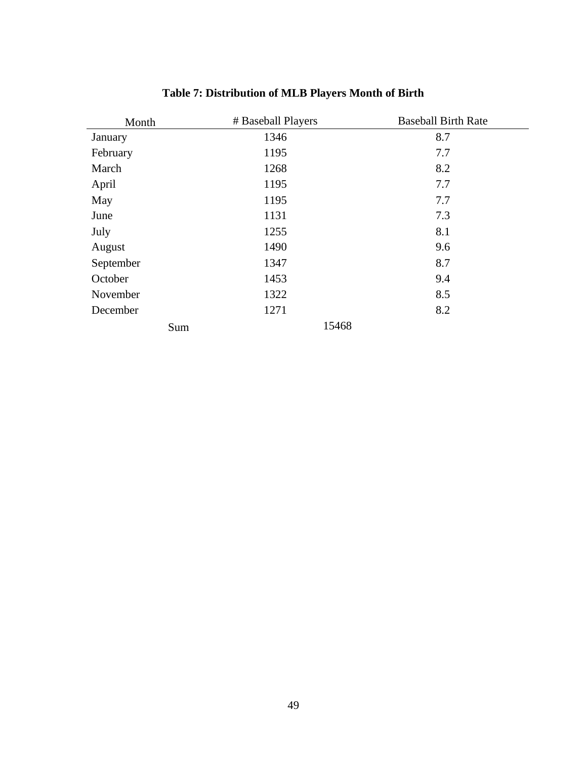| Month     | # Baseball Players | <b>Baseball Birth Rate</b> |
|-----------|--------------------|----------------------------|
| January   | 1346               | 8.7                        |
| February  | 1195               | 7.7                        |
| March     | 1268               | 8.2                        |
| April     | 1195               | 7.7                        |
| May       | 1195               | 7.7                        |
| June      | 1131               | 7.3                        |
| July      | 1255               | 8.1                        |
| August    | 1490               | 9.6                        |
| September | 1347               | 8.7                        |
| October   | 1453               | 9.4                        |
| November  | 1322               | 8.5                        |
| December  | 1271               | 8.2                        |
| Sum       | 15468              |                            |

# **Table 7: Distribution of MLB Players Month of Birth**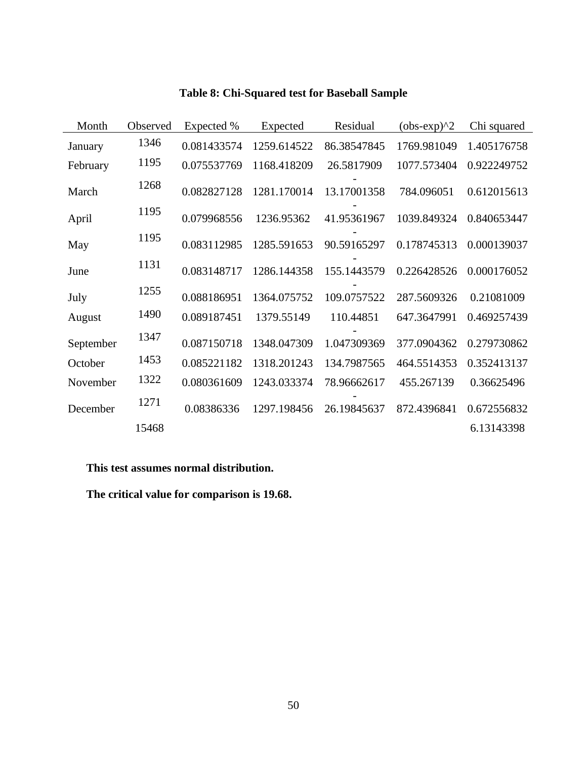| Month     | Observed | Expected %  | Expected    | Residual    | $(obs-exp)^2$ | Chi squared |
|-----------|----------|-------------|-------------|-------------|---------------|-------------|
| January   | 1346     | 0.081433574 | 1259.614522 | 86.38547845 | 1769.981049   | 1.405176758 |
| February  | 1195     | 0.075537769 | 1168.418209 | 26.5817909  | 1077.573404   | 0.922249752 |
| March     | 1268     | 0.082827128 | 1281.170014 | 13.17001358 | 784.096051    | 0.612015613 |
| April     | 1195     | 0.079968556 | 1236.95362  | 41.95361967 | 1039.849324   | 0.840653447 |
| May       | 1195     | 0.083112985 | 1285.591653 | 90.59165297 | 0.178745313   | 0.000139037 |
| June      | 1131     | 0.083148717 | 1286.144358 | 155.1443579 | 0.226428526   | 0.000176052 |
| July      | 1255     | 0.088186951 | 1364.075752 | 109.0757522 | 287.5609326   | 0.21081009  |
| August    | 1490     | 0.089187451 | 1379.55149  | 110.44851   | 647.3647991   | 0.469257439 |
| September | 1347     | 0.087150718 | 1348.047309 | 1.047309369 | 377.0904362   | 0.279730862 |
| October   | 1453     | 0.085221182 | 1318.201243 | 134.7987565 | 464.5514353   | 0.352413137 |
| November  | 1322     | 0.080361609 | 1243.033374 | 78.96662617 | 455.267139    | 0.36625496  |
| December  | 1271     | 0.08386336  | 1297.198456 | 26.19845637 | 872.4396841   | 0.672556832 |
|           | 15468    |             |             |             |               | 6.13143398  |

# **Table 8: Chi-Squared test for Baseball Sample**

**This test assumes normal distribution.**

**The critical value for comparison is 19.68.**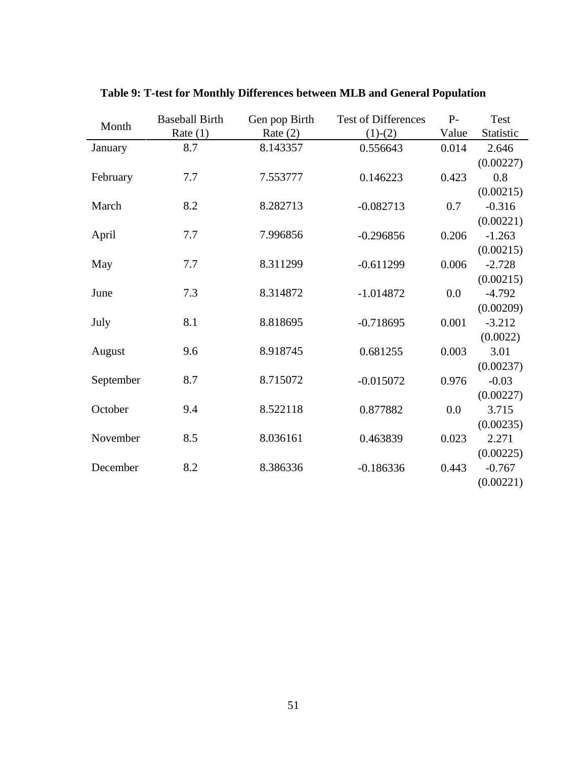| Month     | <b>Baseball Birth</b> | Gen pop Birth | <b>Test of Differences</b> | $P-$  | Test      |
|-----------|-----------------------|---------------|----------------------------|-------|-----------|
|           | Rate $(1)$            | Rate $(2)$    | $(1)-(2)$                  | Value | Statistic |
| January   | 8.7                   | 8.143357      | 0.556643                   | 0.014 | 2.646     |
|           |                       |               |                            |       | (0.00227) |
| February  | 7.7                   | 7.553777      | 0.146223                   | 0.423 | 0.8       |
|           |                       |               |                            |       | (0.00215) |
| March     | 8.2                   | 8.282713      | $-0.082713$                | 0.7   | $-0.316$  |
|           |                       |               |                            |       | (0.00221) |
| April     | 7.7                   | 7.996856      | $-0.296856$                | 0.206 | $-1.263$  |
|           |                       |               |                            |       | (0.00215) |
| May       | 7.7                   | 8.311299      | $-0.611299$                | 0.006 | $-2.728$  |
|           |                       |               |                            |       | (0.00215) |
| June      | 7.3                   | 8.314872      | $-1.014872$                | 0.0   | $-4.792$  |
|           |                       |               |                            |       | (0.00209) |
| July      | 8.1                   | 8.818695      | $-0.718695$                | 0.001 | $-3.212$  |
|           |                       |               |                            |       | (0.0022)  |
| August    | 9.6                   | 8.918745      | 0.681255                   | 0.003 | 3.01      |
|           |                       |               |                            |       | (0.00237) |
| September | 8.7                   | 8.715072      | $-0.015072$                | 0.976 | $-0.03$   |
|           |                       |               |                            |       | (0.00227) |
| October   | 9.4                   | 8.522118      | 0.877882                   | 0.0   | 3.715     |
|           |                       |               |                            |       | (0.00235) |
| November  | 8.5                   | 8.036161      | 0.463839                   | 0.023 | 2.271     |
|           |                       |               |                            |       | (0.00225) |
| December  | 8.2                   | 8.386336      | $-0.186336$                | 0.443 | $-0.767$  |
|           |                       |               |                            |       | (0.00221) |

**Table 9: T-test for Monthly Differences between MLB and General Population**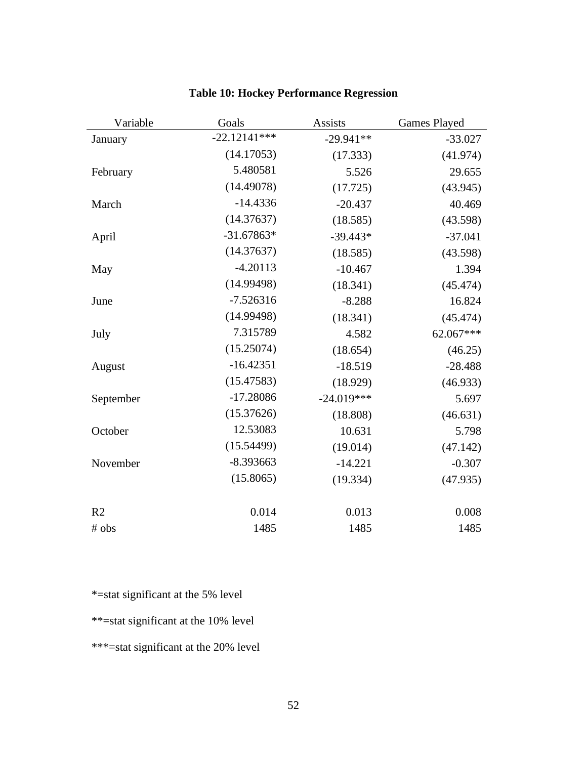| Variable       | Goals          | <b>Assists</b> |           |
|----------------|----------------|----------------|-----------|
| January        | $-22.12141***$ | $-29.941**$    | $-33.027$ |
|                | (14.17053)     | (17.333)       | (41.974)  |
| February       | 5.480581       | 5.526          | 29.655    |
|                | (14.49078)     | (17.725)       | (43.945)  |
| March          | $-14.4336$     | $-20.437$      | 40.469    |
|                | (14.37637)     | (18.585)       | (43.598)  |
| April          | $-31.67863*$   | $-39.443*$     | $-37.041$ |
|                | (14.37637)     | (18.585)       | (43.598)  |
| May            | $-4.20113$     | $-10.467$      | 1.394     |
|                | (14.99498)     | (18.341)       | (45.474)  |
| June           | $-7.526316$    | $-8.288$       | 16.824    |
|                | (14.99498)     | (18.341)       | (45.474)  |
| July           | 7.315789       | 4.582          | 62.067*** |
|                | (15.25074)     | (18.654)       | (46.25)   |
| August         | $-16.42351$    | $-18.519$      | $-28.488$ |
|                | (15.47583)     | (18.929)       | (46.933)  |
| September      | $-17.28086$    | $-24.019***$   | 5.697     |
|                | (15.37626)     | (18.808)       | (46.631)  |
| October        | 12.53083       | 10.631         | 5.798     |
|                | (15.54499)     | (19.014)       | (47.142)  |
| November       | $-8.393663$    | $-14.221$      | $-0.307$  |
|                | (15.8065)      | (19.334)       | (47.935)  |
| R <sub>2</sub> | 0.014          | 0.013          | 0.008     |
| # obs          | 1485           | 1485           | 1485      |

# **Table 10: Hockey Performance Regression**

\*=stat significant at the 5% level

\*\*=stat significant at the 10% level

\*\*\*=stat significant at the 20% level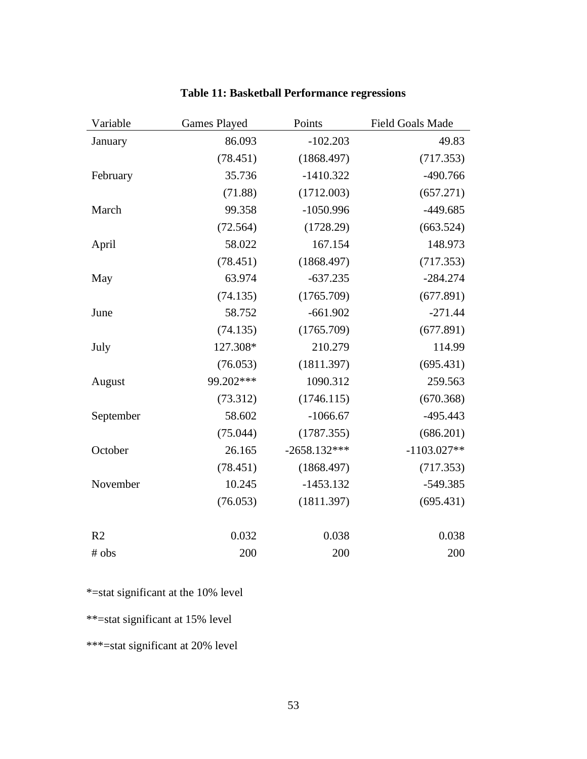| Variable       | <b>Games Played</b> | Points         |               |
|----------------|---------------------|----------------|---------------|
| January        | 86.093              | $-102.203$     | 49.83         |
|                | (78.451)            | (1868.497)     | (717.353)     |
| February       | 35.736              | $-1410.322$    | $-490.766$    |
|                | (71.88)             | (1712.003)     | (657.271)     |
| March          | 99.358              | $-1050.996$    | $-449.685$    |
|                | (72.564)            | (1728.29)      | (663.524)     |
| April          | 58.022              | 167.154        | 148.973       |
|                | (78.451)            | (1868.497)     | (717.353)     |
| May            | 63.974              | $-637.235$     | $-284.274$    |
|                | (74.135)            | (1765.709)     | (677.891)     |
| June           | 58.752              | $-661.902$     | $-271.44$     |
|                | (74.135)            | (1765.709)     | (677.891)     |
| July           | 127.308*            | 210.279        | 114.99        |
|                | (76.053)            | (1811.397)     | (695.431)     |
| August         | 99.202***           | 1090.312       | 259.563       |
|                | (73.312)            | (1746.115)     | (670.368)     |
| September      | 58.602              | $-1066.67$     | $-495.443$    |
|                | (75.044)            | (1787.355)     | (686.201)     |
| October        | 26.165              | $-2658.132***$ | $-1103.027**$ |
|                | (78.451)            | (1868.497)     | (717.353)     |
| November       | 10.245              | $-1453.132$    | $-549.385$    |
|                | (76.053)            | (1811.397)     | (695.431)     |
|                |                     |                |               |
| R <sub>2</sub> | 0.032               | 0.038          | 0.038         |
| # obs          | 200                 | 200            | 200           |

# **Table 11: Basketball Performance regressions**

\*=stat significant at the 10% level

\*\*=stat significant at 15% level

\*\*\*=stat significant at 20% level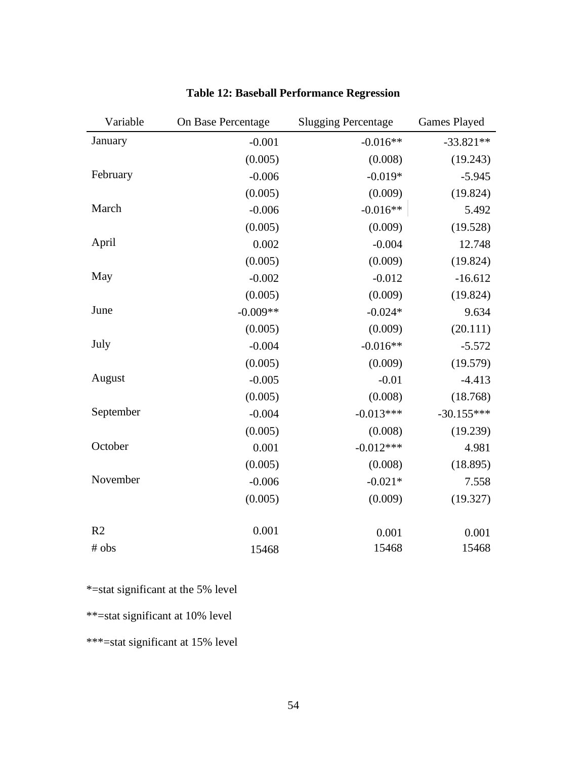| Variable       | On Base Percentage | <b>Slugging Percentage</b> | <b>Games Played</b> |
|----------------|--------------------|----------------------------|---------------------|
| January        | $-0.001$           | $-0.016**$                 | $-33.821**$         |
|                | (0.005)            | (0.008)                    | (19.243)            |
| February       | $-0.006$           | $-0.019*$                  | $-5.945$            |
|                | (0.005)            | (0.009)                    | (19.824)            |
| March          | $-0.006$           | $-0.016**$                 | 5.492               |
|                | (0.005)            | (0.009)                    | (19.528)            |
| April          | 0.002              | $-0.004$                   | 12.748              |
|                | (0.005)            | (0.009)                    | (19.824)            |
| May            | $-0.002$           | $-0.012$                   | $-16.612$           |
|                | (0.005)            | (0.009)                    | (19.824)            |
| June           | $-0.009**$         | $-0.024*$                  | 9.634               |
|                | (0.005)            | (0.009)                    | (20.111)            |
| July           | $-0.004$           | $-0.016**$                 | $-5.572$            |
|                | (0.005)            | (0.009)                    | (19.579)            |
| August         | $-0.005$           | $-0.01$                    | $-4.413$            |
|                | (0.005)            | (0.008)                    | (18.768)            |
| September      | $-0.004$           | $-0.013***$                | $-30.155***$        |
|                | (0.005)            | (0.008)                    | (19.239)            |
| October        | 0.001              | $-0.012***$                | 4.981               |
|                | (0.005)            | (0.008)                    | (18.895)            |
| November       | $-0.006$           | $-0.021*$                  | 7.558               |
|                | (0.005)            | (0.009)                    | (19.327)            |
|                |                    |                            |                     |
| R <sub>2</sub> | 0.001              | 0.001                      | 0.001               |
| # obs          | 15468              | 15468                      | 15468               |

# **Table 12: Baseball Performance Regression**

\*=stat significant at the 5% level

\*\*=stat significant at 10% level

\*\*\*=stat significant at 15% level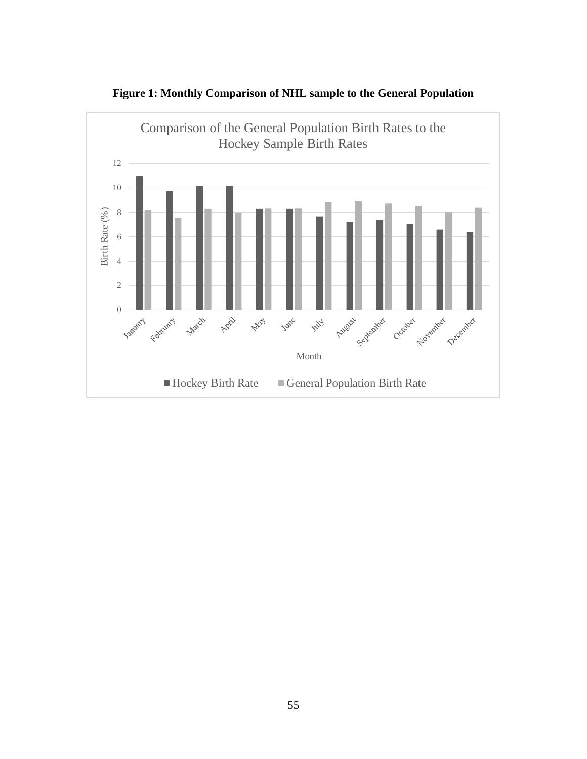

**Figure 1: Monthly Comparison of NHL sample to the General Population**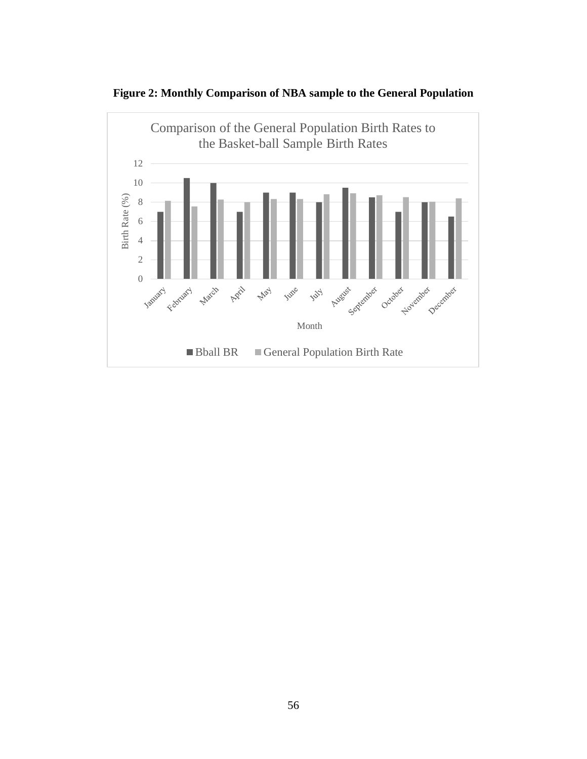

**Figure 2: Monthly Comparison of NBA sample to the General Population**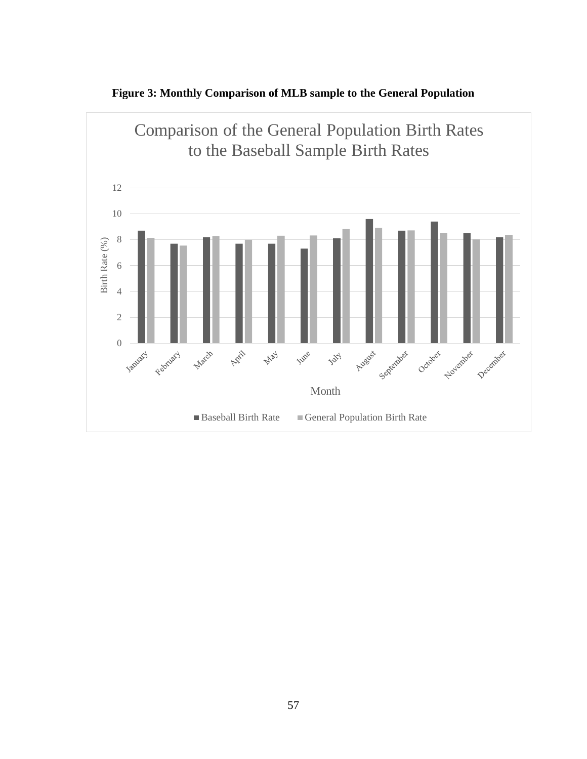

**Figure 3: Monthly Comparison of MLB sample to the General Population**